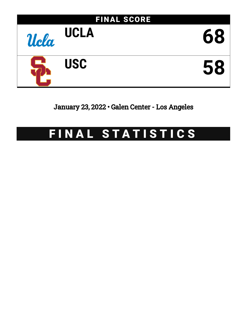

January 23, 2022 • Galen Center - Los Angeles

## FINAL STATISTICS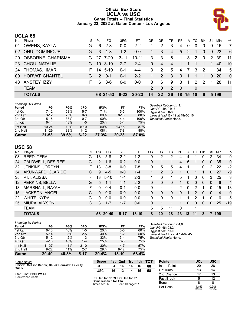#### **Official Box Score UCLA vs USC Game Totals -- Final Statistics January 23, 2022 at Galen Center - Los Angeles**



#### **UCLA 68**

| No. | Player                 | S  | Pts           | FG.         | 3FG      | FТ        | ΟR            | DR       | TR            | PF       |                | A TO          | Blk           | Stl      | Min   | $+/-$          |
|-----|------------------------|----|---------------|-------------|----------|-----------|---------------|----------|---------------|----------|----------------|---------------|---------------|----------|-------|----------------|
| 01  | OWENS, KAYLA           | G  | 6             | $2 - 3$     | $0 - 0$  | $2 - 2$   |               | 2        | 3             | 4        | 0              | 0             | 0             | 0        | 16    | 7              |
|     | 02 ONU, DOMINIQUE      | G  | 3             | $1 - 3$     | $1 - 2$  | $0 - 0$   | 1             | 3        | 4             | 5        | 2              | 1             | $\Omega$      | $\Omega$ | -23   | - 6            |
|     | 20 OSBORNE, CHARISMA   | G. |               | 27 7-20     | $3 - 11$ | $10 - 11$ | 3             | 3        | 6             | 1        | 3              | $\mathcal{P}$ | $\Omega$      |          | 2 39  | -11            |
|     | 23 CHOU, NATALIE       | G. |               | $10 \t3-10$ | $2 - 7$  | $2 - 4$   | 0             | 4        | 4             | 1        |                |               |               |          | 40    | 10             |
| 24  | THOMAS, IIMAR'I        |    | 14            | $5-10$      | $0 - 1$  | $4 - 4$   | 3             | 2        | 5             | 4        | 7              | 3             | 2             | 1        | 34    | 5              |
| 00  | <b>HORVAT, CHANTEL</b> | G. | $\mathcal{P}$ | $0 - 1$     | $0 - 1$  | $2 - 2$   |               | 2        | 3             | $\Omega$ | $\mathbf 1$    | 1             | 1             | $\Omega$ | -20   | $\overline{0}$ |
| 43  | ANSTEY, IZZY           | F. | 6             | $3-6$       | $0 - 0$  | $0-0$     | 3             | 6        | 9             | 3        | $\overline{1}$ | $\mathcal{P}$ | $\mathcal{P}$ | -1       | 28    | -11            |
|     | <b>TEAM</b>            |    |               |             |          |           | $\mathcal{P}$ | $\Omega$ | $\mathcal{P}$ | - 0      |                | $\Omega$      |               |          |       |                |
|     | <b>TOTALS</b>          |    |               | 68 21-53    | $6 - 22$ | $20 - 23$ | 14            | $22 \,$  | 36            | 18 15 10 |                |               | 6             |          | 5 199 |                |

| <b>Shooting By Period</b> |           |       |          |        |           |       |
|---------------------------|-----------|-------|----------|--------|-----------|-------|
| Period                    | FG        | FG%   | 3FG      | 3FG%   | FT        | FT%   |
| 1st Otr                   | 7-12      | 58%   | $5 - 7$  | 71%    | $5 - 5$   | 100%  |
| 2nd Qtr                   | $3 - 12$  | 25%   | $0 - 3$  | 00%    | $8 - 10$  | 80%   |
| 3rd Qtr                   | $5 - 15$  | 33%   | $0 - 7$  | $00\%$ | $4 - 4$   | 100%  |
| 4th Qtr                   | $6 - 14$  | 43%   | $1-5$    | 20%    | $3 - 4$   | 75%   |
| 1st Half                  | $10 - 24$ | 42%   | $5 - 10$ | 50%    | $13 - 15$ | 87%   |
| 2nd Half                  | 11-29     | 38%   | $1 - 12$ | 08%    | 7-8       | 88%   |
| Game                      | $21 - 53$ | 39.6% | $6 - 22$ | 27.3%  | $20 - 23$ | 87.0% |

*Deadball Rebounds:* 1,1 *Last FG:* 4th-01:17 *Biggest Run:* 8-0 *Largest lead:* By 12 at 4th-00:16 *Technical Fouls:* None.

#### **USC 58**

Conference Game;

|         | <b>TOTALS</b>         |    | 58            | $20 - 49$ | $5 - 17$ | $13 - 19$ | 8                    | 20       | 28       | 23       | 13       | 11 | 3            |          | 199                     |                |
|---------|-----------------------|----|---------------|-----------|----------|-----------|----------------------|----------|----------|----------|----------|----|--------------|----------|-------------------------|----------------|
|         | <b>TEAM</b>           |    |               |           |          |           | 6                    | 5        | 11       | $\Omega$ |          | 1  |              |          |                         |                |
| 25      | MIURA, ALYSON         | G  | 3             | $1 - 7$   | $1 - 7$  | $0 - 0$   | 0                    |          |          |          | $\Omega$ | 0  | $\mathbf{0}$ | $\Omega$ | 25                      | $-19$          |
| 22      | WHITE, KYRA           | G  | $\Omega$      | $0 - 0$   | $0 - 0$  | $0 - 0$   | 0                    | 0        | $\Omega$ |          |          | 2  |              | 0        | 6                       | -5             |
| 15      | <b>JACKSON, ANGEL</b> | С  | $\Omega$      | $0 - 0$   | $0 - 0$  | $0 - 0$   | 0                    | 0        | $\Omega$ | 0        |          | 2  | $\Omega$     | $\Omega$ | $\overline{\mathbf{4}}$ | $\mathbf{0}$   |
| 13      | MARSHALL, RAYAH       | F. | 0             | $0 - 4$   | $0 - 1$  | $0 - 0$   | 0                    | 4        | 4        | 2        | 0        | 2  |              | 0        | 15                      | $-13$          |
| $12 \,$ | PERKINS, BELLA        | G  | 5             | $1 - 1$   | $1 - 1$  | $2 - 2$   | 0                    | 0        | $\Omega$ |          | $\Omega$ | 0  | $\Omega$     | $\Omega$ | 6                       | $\overline{4}$ |
| 35      | PILI, ALISSA          | F. | 13            | $5 - 10$  | $1 - 4$  | $2 - 3$   | 1.                   | $\Omega$ |          | 5        | 1        | 0  | 0            | 3        | 25                      | 3              |
| 34      | AKUNWAFO, CLARICE     | C. | 9             | $4 - 5$   | $0 - 0$  | $1 - 4$   | $\blacktriangleleft$ | 2        | 3        |          | $\Omega$ |    |              | 0        | 27                      | -9             |
| 32      | JENKINS, JORDYN       | F. | 13            | $3 - 8$   | $0-0$    | $7-8$     | 0                    | 5        | 5        | 4        |          |    | 0            | 2        | 22                      | $-2$           |
| 24      | CALDWELL, DESIREE     | G  | $\mathcal{P}$ | $1 - 6$   | $0 - 2$  | $0 - 0$   | 0                    |          |          | 4        | 5        |    | $\mathbf{0}$ | 0        | 35                      | $\mathbf{0}$   |
| 03      | REED, TERA            | G  | 13            | $5 - 8$   | $2 - 2$  | $1 - 2$   | 0                    | 2        | 2        | 4        | 4        |    | 0            | 2        | 34                      | -9             |
| No.     | Player                | S  | Pts           | FG.       | 3FG      | FТ        | 0R                   | DR       | TR       | PF       | A        | TO | Blk          | Stl      | Min                     | $+/-$          |

| <b>Shooting By Period</b> |           |       |          |       |           |       |
|---------------------------|-----------|-------|----------|-------|-----------|-------|
| Period                    | FG        | FG%   | 3FG      | 3FG%  | FT        | FT%   |
| 1st Qtr                   | $6 - 13$  | 46%   | $1-5$    | 20%   | $3-5$     | 60%   |
| 2nd Qtr                   | $5 - 14$  | 36%   | $2 - 5$  | 40%   | $1 - 2$   | 50%   |
| 3rd Qtr                   | $5 - 12$  | 42%   | $1 - 3$  | 33%   | $3 - 4$   | 75%   |
| 4th Qtr                   | $4 - 10$  | 40%   | $1 - 4$  | 25%   | $6 - 8$   | 75%   |
| 1st Half                  | $11-27$   | 41%   | $3 - 10$ | 30%   | $4 - 7$   | 57%   |
| 2nd Half                  | $9-22$    | 41%   | $2 - 7$  | 29%   | $9 - 12$  | 75%   |
| Game                      | $20 - 49$ | 40.8% | $5-17$   | 29.4% | $13 - 19$ | 68.4% |

*Deadball Rebounds:* 4,0 *Last FG:* 4th-03:24 *Biggest Run:* 11-0 *Largest lead:* By 2 at 1st-09:45 *Technical Fouls:* None.

| Game Notes:                                                   | <b>Score</b> |    |       |          | 1st 2nd 3rd 4th TOT |
|---------------------------------------------------------------|--------------|----|-------|----------|---------------------|
| Officials: Melissa Barlow, Chuck Gonzalez, Felecity<br>Willis | UCL          | 24 |       | 14 14 16 | -68                 |
|                                                               | USC.         |    | 16 13 | 14 15    | -58                 |
| Start Time: 09:00 PM ET                                       |              |    |       |          |                     |

**UCL led for 37:39. USC led for 0:18. Game was tied for 1:57.** Times tied: **3** Lead Changes: **1**

| <b>Points</b>     | UCL            | <b>USC</b>     |
|-------------------|----------------|----------------|
| In the Paint      | 20             | 28             |
| Off Turns         | 13             | 14             |
| 2nd Chance        | 17             | 13             |
| <b>Fast Break</b> | 5              | 12             |
| Bench             | ጸ              | ጸ              |
| Per Poss          | 1.153<br>30/59 | 0.906<br>27/64 |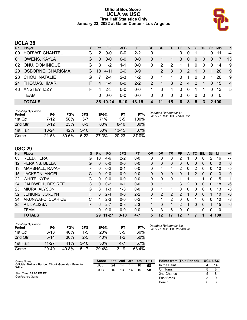#### **Official Box Score UCLA vs USC First Half Statistics Only January 23, 2022 at Galen Center - Los Angeles**



## **UCLA 38**

| No.       | Player                 | S. | <b>Pts</b> | <b>FG</b> | 3FG     | <b>FT</b> | <b>OR</b>     | <b>DR</b> | <b>TR</b> | <b>PF</b>     |                | A TO          | <b>BIK</b> | Stl      | <b>Min</b>  | $+/-$          |
|-----------|------------------------|----|------------|-----------|---------|-----------|---------------|-----------|-----------|---------------|----------------|---------------|------------|----------|-------------|----------------|
| 00        | HORVAT, CHANTEL        | G  | 2          | $0 - 0$   | $0 - 0$ | $2 - 2$   | 0             |           |           | 0             | 0              |               |            | 0        | 11          | -4             |
| 01        | <b>OWENS, KAYLA</b>    | G  | $\Omega$   | $0 - 0$   | $0 - 0$ | $0 - 0$   | 0             |           |           | 3             | $\Omega$       | 0             | 0          | 0        |             | 13             |
| 02        | ONU, DOMINIQUE         | G  | 3          | $1 - 2$   | $1 - 1$ | $0 - 0$   | 0             | 2         | 2         |               |                | 0             | 0          | 0        | 14          | 9              |
| <b>20</b> | OSBORNE, CHARISMA      | G. | 18         | $4 - 11$  | $2 - 6$ | $8-9$     |               | 2         | 3         | $\Omega$      | 2              | 1             | $\Omega$   | 1        | 20          | -9             |
| -23       | CHOU, NATALIE          | G  | 7          | $2 - 4$   | $2 - 3$ | $1 - 2$   | 0             | 1         | 1.        | $\Omega$      | -1             | 0             | $\Omega$   |          | 20          | 9              |
| 24        | <b>THOMAS, IIMAR'I</b> | F. | 4          | $1 - 4$   | $0 - 0$ | $2 - 2$   | $\mathcal{P}$ | 1         | 3         | $\mathcal{P}$ | $\overline{4}$ | $\mathcal{P}$ | -1         | $\Omega$ | 15          | $\overline{4}$ |
| 43        | ANSTEY, IZZY           | F  | 4          | $2 - 3$   | $0 - 0$ | $0 - 0$   |               | 3         | 4         | $\Omega$      | $\Omega$       |               |            | 0        | 13          | 5              |
|           | <b>TEAM</b>            |    | 0          | $0 - 0$   | $0 - 0$ | $0 - 0$   | 0             | 0         | $\Omega$  | $\Omega$      | $\Omega$       | $\Omega$      | $\Omega$   | 0        | - 0         |                |
|           | <b>TOTALS</b>          |    |            | 38 10-24  | $5-10$  | $13 - 15$ | 4             | 11        | 15        | 6             | 8              | 5             | 3          |          | <b>2100</b> |                |

| <b>Shooting By Period</b><br>Period | FG        | FG%   | 3FG     | 3FG%       | FT        | FT%   | Deadball Rebounds: 1,1<br>Last FG Half: UCL 2nd-03:22 |
|-------------------------------------|-----------|-------|---------|------------|-----------|-------|-------------------------------------------------------|
| 1st Otr                             | 7-12      | 58%   | $5-7$   | <b>71%</b> | $5-5$     | 100%  |                                                       |
| 2nd Qtr                             | $3 - 12$  | 25%   | $0 - 3$ | $00\%$     | $8 - 10$  | 80%   |                                                       |
| 1st Half                            | $10 - 24$ | 42%   | $5-10$  | 50%        | $13 - 15$ | 87%   |                                                       |
| Game                                | $21 - 53$ | 39.6% | $6-22$  | 27.3%      | $20 - 23$ | 87.0% |                                                       |

#### **USC 29**

| No. | Plaver            | S  | <b>Pts</b> | <b>FG</b> | 3FG      | <b>FT</b> | <b>OR</b> | <b>DR</b> | TR            | PF            | A        | TO       | <b>B</b> lk | Stl          | Min         | $+/-$        |
|-----|-------------------|----|------------|-----------|----------|-----------|-----------|-----------|---------------|---------------|----------|----------|-------------|--------------|-------------|--------------|
| 03  | REED, TERA        | G  | 10         | $4-6$     | $2 - 2$  | $0 - 0$   | 0         | 0         | 0             | 2             |          | 0        | 0           | 2            | 16          | $-7$         |
| 12  | PERKINS, BELLA    | G  | 0          | $0 - 0$   | $0 - 0$  | $0 - 0$   | 0         | 0         | 0             | 0             | 0        | 0        | 0           | 0            | $\Omega$    | $\mathbf{0}$ |
| 13  | MARSHALL, RAYAH   | F  | 0          | $0 - 2$   | $0 - 1$  | $0 - 0$   | 0         | 4         | 4             | 2             | 0        | 2        | 0           | 0            | 10          | -5           |
| 15  | JACKSON, ANGEL    |    | 0          | $0 - 0$   | $0 - 0$  | $0 - 0$   | 0         | 0         | 0             | 0             |          | 2        | $\Omega$    | $\mathbf{0}$ | 3           | $\mathbf{0}$ |
| 22  | WHITE, KYRA       | G  | 0          | $0-0$     | $0 - 0$  | $0 - 0$   | 0         | 0         | 0             |               |          |          |             | 0            | 5           | 1            |
| 24  | CALDWELL, DESIREE | G  | $\Omega$   | $0 - 2$   | $0 - 1$  | $0 - 0$   | 0         |           |               | 3             | 2        | $\Omega$ | 0           | 0            | 18          | -6           |
| 25  | MIURA, ALYSON     | G  | 3          | 1-3       | 1-3      | $0 - 0$   | 0         | 1         |               | 0             | 0        | 0        | 0           | 0            | 13          | -8           |
| 32  | JENKINS, JORDYN   | F  | 6          | $2 - 4$   | $0 - 0$  | $2 - 2$   | 0         | 2         | $\mathcal{P}$ | 2             |          | 0        | 0           | 1            | 10          | -6           |
| 34  | AKUNWAFO, CLARICE | C  | 4          | $2 - 3$   | $0 - 0$  | $0 - 2$   | 1         | 1         | 2             | 0             | $\Omega$ |          | 0           | 0            | 10          | -8           |
| 35  | PILI, ALISSA      | F. | 6          | $2 - 7$   | $0 - 3$  | $2 - 3$   |           | $\Omega$  | 1             | $\mathcal{P}$ | 1        | 0        | $\Omega$    |              | 15          | -6           |
|     | <b>TEAM</b>       |    | 0          | $0 - 0$   | $0 - 0$  | $0 - 0$   | 3         | 3         | 6             | 0             | 0        |          | 0           | 0            | $\mathbf 0$ |              |
|     | <b>TOTALS</b>     |    | 29         | 11-27     | $3 - 10$ | $4 - 7$   | 5         | 12        | 17            | 12            |          |          |             | 4            | 100         |              |

| <b>Shooting By Period</b><br>Period | FG       | FG%   | 3FG      | 3FG%  | FT      | FT%   |
|-------------------------------------|----------|-------|----------|-------|---------|-------|
| 1st Otr                             | $6 - 13$ | 46%   | $1-5$    | 20%   | 3-5     | 60%   |
| 2nd Qtr                             | $5 - 14$ | 36%   | $2 - 5$  | 40%   | $1 - 2$ | 50%   |
| 1st Half                            | 11-27    | 41%   | $3 - 10$ | 30%   | 4-7     | 57%   |
| Game                                | 20-49    | 40.8% | $5 - 17$ | 29.4% | $13-19$ | 68.4% |

*Deadball Rebounds:* 4,0 *Last FG Half:* USC 2nd-00:28

| Game Notes:                                                   | <b>Score</b> | 1st | 2nd | 3rd | 4th | <b>TOT</b> | <b>Points from (This Period)</b> | <b>UCL USC</b> |
|---------------------------------------------------------------|--------------|-----|-----|-----|-----|------------|----------------------------------|----------------|
| Officials: Melissa Barlow, Chuck Gonzalez, Felecity<br>Willis | UCL          | 24  | 14  | 14  | 16  | 68         | In the Paint                     |                |
|                                                               | USC          | 16  |     | 14  | 15  | 58         | Off Turns                        |                |
| Start Time: 09:00 PM ET                                       |              |     |     |     |     |            | 2nd Chance                       |                |
| Conference Game:                                              |              |     |     |     |     |            | <b>Fast Break</b>                |                |
|                                                               |              |     |     |     |     |            | Bench                            |                |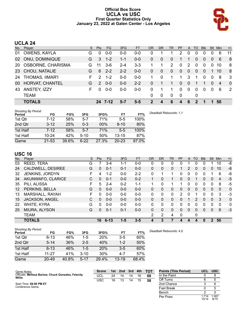#### **Official Box Score UCLA vs USC First Quarter Statistics Only January 23, 2022 at Galen Center - Los Angeles**



## **UCLA 24**

| No.       | Plaver                 | S  | <b>Pts</b>    | FG.     | 3FG     | <b>FT</b> | OR             | DR       | TR       | PF             | $\mathsf{A}$   | TO       | <b>Blk</b> | Stl      | Min | $+/-$          |
|-----------|------------------------|----|---------------|---------|---------|-----------|----------------|----------|----------|----------------|----------------|----------|------------|----------|-----|----------------|
| 01        | OWENS, KAYLA           | G  | 0             | $0 - 0$ | $0 - 0$ | 0-0       | 0              |          |          | 2              | 0              | 0        | 0          |          | 6   | 11             |
| 02        | ONU, DOMINIQUE         | G  | 3             | $1 - 2$ | $1 - 1$ | $0-0$     | $\Omega$       | 0        | $\Omega$ |                |                | 0        | 0          | $\Omega$ | 6   | -8             |
| <b>20</b> | OSBORNE, CHARISMA      | G  | 11            | $3-6$   | $2 - 4$ | $3-3$     |                | 1        | 2        | $\Omega$       | $\mathcal{P}$  | $\Omega$ | $\Omega$   | $\Omega$ | 10  | -8             |
| 23        | CHOU, NATALIE          | G  | 6             | $2 - 2$ | $2 - 2$ | $0 - 0$   | $\overline{0}$ | $\theta$ | $\Omega$ | $\overline{0}$ | $\overline{0}$ | $\Omega$ | $\Omega$   |          | 10  | -8             |
| 24        | <b>THOMAS, IIMAR'I</b> | F. | $\mathcal{P}$ | $1 - 2$ | $0 - 0$ | $0-0$     |                | 0        |          | 1              | 3              |          | $\Omega$   | $\Omega$ | 8   | -3             |
| 00        | HORVAT, CHANTEL        | G  | 2             | $0 - 0$ | $0 - 0$ | $2 - 2$   | 0              |          |          | 0              | 0              |          |            | $\Omega$ | 4   | $\overline{0}$ |
| 43        | ANSTEY, IZZY           | F  | ∩             | $0 - 0$ | $0 - 0$ | $0 - 0$   | 0              |          |          | 0              | $\Omega$       | $\Omega$ | $\Omega$   | $\Omega$ | 6   | 2              |
|           | <b>TEAM</b>            |    |               |         |         |           | $\Omega$       | 0        | $\Omega$ | 0              |                | 0        |            |          |     |                |
|           | <b>TOTALS</b>          |    |               | 24 7-12 | 5-7     | 5-5       | כי             | 4        | 6        | 4              | 6              | 2        |            |          | 50  |                |

| <b>Shooting By Period</b><br>Period | FG        | FG%   | 3FG      | 3FG%   | FT        | FT%   | Deadball Rebounds: 1,1 |
|-------------------------------------|-----------|-------|----------|--------|-----------|-------|------------------------|
| 1st Qtr                             | 7-12      | 58%   | $5 - 7$  | 71%    | $5-5$     | 100%  |                        |
| 2nd Qtr                             | $3 - 12$  | 25%   | $0 - 3$  | $00\%$ | $8 - 10$  | 80%   |                        |
| 1st Half                            | $7 - 12$  | 58%   | $5 - 7$  | 71%    | $5-5$     | 100%  |                        |
| 1st Half                            | $10 - 24$ | 42%   | $5 - 10$ | 50%    | $13 - 15$ | 87%   |                        |
| Game                                | 21-53     | 39.6% | $6 - 22$ | 27.3%  | $20 - 23$ | 87.0% |                        |

#### **USC 16**

| No. | Plaver            | S  | Pts      | <b>FG</b> | 3FG     | <b>FT</b> | <b>OR</b> | <b>DR</b> | TR           | <b>PF</b>     | A            | TO           | <b>Blk</b>   | Stl          | Min | $+/-$          |
|-----|-------------------|----|----------|-----------|---------|-----------|-----------|-----------|--------------|---------------|--------------|--------------|--------------|--------------|-----|----------------|
| 03  | REED, TERA        | G  |          | $3 - 4$   | 1-1     | $0-0$     | 0         | 0         | 0            | 0             |              | 0            | 0            |              | 10  | -8             |
| 24  | CALDWELL, DESIREE | G  | $\Omega$ | $0 - 1$   | $0 - 1$ | $0 - 0$   | $\Omega$  | 0         | 0            |               | 2            | $\Omega$     | 0            | 0            | 10  | -8             |
| 32  | JENKINS, JORDYN   | F. | 4        | $1-2$     | $0 - 0$ | $2 - 2$   | 0         |           | 1            | 0             | 0            | 0            | 0            |              | 6   | -8             |
| 34  | AKUNWAFO, CLARICE | C  | $\Omega$ | $0 - 1$   | $0 - 0$ | $0 - 2$   |           | 0         | 1.           | 0             | 0            |              | 0            | 0            | 4   | $-5$           |
| 35  | PILI, ALISSA      | F  | 5        | $2 - 4$   | $0 - 2$ | $1 - 1$   | 1         | 0         | 1            |               | 0            | ∩            | 0            | 0            | 8   | -5             |
| 12  | PERKINS, BELLA    | G  | 0        | $0 - 0$   | $0 - 0$ | $0 - 0$   | $\Omega$  | 0         | 0            | 0             | $\mathbf{0}$ | $\Omega$     | 0            | $\mathbf{0}$ | 0   | $\mathbf{0}$   |
| 13  | MARSHALL, RAYAH   | F. | 0        | $0 - 0$   | $0 - 0$ | $0-0$     | 0         | 0         | $\Omega$     | $\mathcal{P}$ | 0            |              | 0            | $\Omega$     | 3   | -3             |
| 15  | JACKSON, ANGEL    | C  | $\Omega$ | $0 - 0$   | $0 - 0$ | $0 - 0$   | $\Omega$  | 0         | 0            | 0             |              | 2            | 0            | $\Omega$     | 3   | $\overline{0}$ |
| 22  | WHITE, KYRA       | G  | $\Omega$ | $0 - 0$   | $0 - 0$ | $0 - 0$   | 0         | 0         | $\mathbf{0}$ | 0             | 0            | 0            | 0            | 0            | 0   | $\mathbf{0}$   |
| 25  | MIURA, ALYSON     | G  | 0        | $0 - 1$   | $0 - 1$ | $0 - 0$   | $\Omega$  | 0         | $\Omega$     | 0             | 0            | $\Omega$     | 0            | 0            | 6   | $-3$           |
|     | TEAM              |    |          |           |         |           | 2         | 2         | 4            | 0             |              | 0            |              |              |     |                |
|     | <b>TOTALS</b>     |    | 16       | $6 - 13$  | $1 - 5$ | $3 - 5$   | 4         | 3         |              | 4             | Δ            | $\mathbf{A}$ | $\mathbf{0}$ | 2            | 50  |                |

| <b>Shooting By Period</b><br>Period | FG        | FG%   | 3FG      | 3FG%       | FT        | FT%   | Deadball Rebounds: 4,0 |
|-------------------------------------|-----------|-------|----------|------------|-----------|-------|------------------------|
| 1st Qtr                             | $6 - 13$  | 46%   | $1-5$    | 20%        | $3 - 5$   | 60%   |                        |
| 2nd Qtr                             | $5 - 14$  | 36%   | $2 - 5$  | 40%        | $1 - 2$   | 50%   |                        |
| 1st Half                            | $6 - 13$  | 46%   | 1-5      | <b>20%</b> | $3 - 5$   | 60%   |                        |
| 1st Half                            | $11 - 27$ | 41%   | $3 - 10$ | 30%        | $4 - 7$   | 57%   |                        |
| Game                                | $20 - 49$ | 40.8% | $5 - 17$ | 29.4%      | $13 - 19$ | 68.4% |                        |

Game Notes: Officials: **Melissa Barlow, Chuck Gonzalez, Felecity Willis** Start Time: **09:00 PM ET** Conference Game; **Score 1st 2nd 3rd 4th TOT** UCL 24 14 14 16 **68** USC 16 13 14 15 **58 Points (This Period) UCL USC** In the Paint 0 8<br>
Off Turns 6 5 Off Turns 2nd Chance 3 6 Fast Break 0 5 **Bench** Per Poss

| 1.714<br>10/14 | 1.067<br>8/15 |
|----------------|---------------|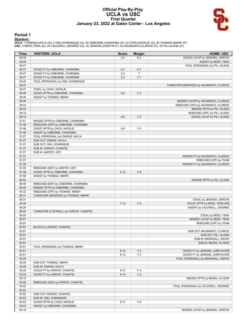#### **Official Play-By-Play UCLA vs USC First Quarter January 23, 2022 at Galen Center - Los Angeles**



#### **Period 1**

<mark>Starters:</mark><br>UCLA: 1 OWENS,KAYLA (G); 2 ONU,DOMINIQUE (G); 20 OSBORNE,CHARISMA (G); 23 CHOU,NATALIE (G); 24 THOMAS,IIMAR'I (F);<br>USC: 3 REED,TERA (G); 24 CALDWELL,DESIREE (G); 32 JENKINS,JORDYN (F); 34 AKUNWAFO,CLARICE (C);

| Time           | <b>VISITORS: UCLA</b>                                             | <b>Score</b> | <b>Margin</b>  | <b>HOME: USC</b>                        |
|----------------|-------------------------------------------------------------------|--------------|----------------|-----------------------------------------|
| 09:45          |                                                                   | $2 - 0$      | H <sub>2</sub> | GOOD! LAYUP by JENKINS, JORDYN          |
| 09:45          |                                                                   |              |                | ASSIST by REED, TERA                    |
| 09:27          |                                                                   |              |                | FOUL (PERSONAL) by PILI, ALISSA         |
| 09:27          | GOOD! FT by OSBORNE, CHARISMA                                     | $2 - 1$      | H <sub>1</sub> |                                         |
| 09:27          | GOOD! FT by OSBORNE, CHARISMA                                     | $2 - 2$      | T              |                                         |
| 09:27          | GOOD! FT by OSBORNE, CHARISMA                                     | $2 - 3$      | V <sub>1</sub> |                                         |
| 09:20          | FOUL (PERSONAL) by ONU, DOMINIQUE                                 |              |                |                                         |
| 09:07          |                                                                   |              |                | TURNOVER (BADPASS) by AKUNWAFO, CLARICE |
| 09:07          | STEAL by CHOU, NATALIE                                            |              |                |                                         |
| 08:49          | GOOD! 3PTR by OSBORNE, CHARISMA                                   | $2 - 6$      | V <sub>4</sub> |                                         |
| 08:49          | ASSIST by THOMAS, IIMAR'I                                         |              |                |                                         |
| 08:26          |                                                                   |              |                | MISSED LAYUP by AKUNWAFO, CLARICE       |
| 08:24          |                                                                   |              |                | REBOUND (OFF) by AKUNWAFO, CLARICE      |
| 08:22          |                                                                   |              |                | MISSED 3PTR by PILI, ALISSA             |
| 08:15          |                                                                   |              |                | REBOUND (OFF) by PILI, ALISSA           |
| 08:14          |                                                                   | $4-6$        | V <sub>2</sub> | GOOD! LAYUP by PILI, ALISSA             |
| 07:51<br>07:48 | MISSED 3PTR by OSBORNE, CHARISMA                                  |              |                |                                         |
| 07:46          | REBOUND (OFF) by OSBORNE, CHARISMA<br>GOOD! 3PTR by CHOU, NATALIE | $4 - 9$      | V <sub>5</sub> |                                         |
| 07:46          | ASSIST by OSBORNE, CHARISMA                                       |              |                |                                         |
| 07:27          | FOUL (PERSONAL) by OWENS, KAYLA                                   |              |                |                                         |
| 07:27          | SUB OUT: OWENS, KAYLA                                             |              |                |                                         |
| 07:27          | SUB OUT: ONU, DOMINIQUE                                           |              |                |                                         |
| 07:27          | SUB IN: HORVAT, CHANTEL                                           |              |                |                                         |
| 07:27          | SUB IN: ANSTEY, IZZY                                              |              |                |                                         |
| 07:27          |                                                                   |              |                | MISSED FT by AKUNWAFO, CLARICE          |
| 07:27          |                                                                   |              |                | REBOUND (OFF) by TEAM                   |
| 07:26          |                                                                   |              |                | MISSED FT by AKUNWAFO, CLARICE          |
| 07:25          | REBOUND (DEF) by ANSTEY, IZZY                                     |              |                |                                         |
| 07:08          | GOOD! 3PTR by OSBORNE, CHARISMA                                   | $4 - 12$     | V8             |                                         |
| 07:08          | ASSIST by THOMAS, IIMAR'I                                         |              |                |                                         |
| 06:50          |                                                                   |              |                | MISSED 3PTR by PILI, ALISSA             |
| 06:46          | REBOUND (DEF) by OSBORNE, CHARISMA                                |              |                |                                         |
| 06:40          | MISSED 3PTR by OSBORNE, CHARISMA                                  |              |                |                                         |
| 06:32          | REBOUND (OFF) by THOMAS, IIMAR'I                                  |              |                |                                         |
| 06:31          | TURNOVER (BADPASS) by THOMAS, IIMAR'I                             |              |                |                                         |
| 06:31          |                                                                   |              |                | STEAL by JENKINS, JORDYN                |
| 06:26          |                                                                   | $7 - 12$     | V <sub>5</sub> | GOOD! 3PTR by REED, TERA [FB]           |
| 06:26          |                                                                   |              |                | ASSIST by CALDWELL, DESIREE             |
| 06:00          | TURNOVER (LOSTBALL) by HORVAT, CHANTEL                            |              |                |                                         |
| 06:00          |                                                                   |              |                | STEAL by REED, TERA                     |
| 05:57          |                                                                   |              |                | MISSED LAYUP by REED, TERA              |
| 05:57          |                                                                   |              |                | REBOUND (OFF) by TEAM                   |
| 05:57          | BLOCK by HORVAT, CHANTEL                                          |              |                |                                         |
| 05:57          |                                                                   |              |                | SUB OUT: AKUNWAFO, CLARICE              |
| 05:57          |                                                                   |              |                | SUB OUT: PILI, ALISSA                   |
| 05:57          |                                                                   |              |                | SUB IN: MARSHALL, RAYAH                 |
| 05:57<br>05:51 | FOUL (PERSONAL) by THOMAS, IIMAR'I                                |              |                | SUB IN: MIURA, ALYSON                   |
| 05:51          |                                                                   | $8 - 12$     | V <sub>4</sub> | GOOD! FT by JENKINS, JORDYN [FB]        |
| 05:51          |                                                                   | $9 - 12$     | $V_3$          | GOOD! FT by JENKINS, JORDYN [FB]        |
| 05:29          |                                                                   |              |                | FOUL (PERSONAL) by MARSHALL, RAYAH      |
| 05:29          | SUB OUT: THOMAS, IIMAR'I                                          |              |                |                                         |
| 05:29          | SUB IN: OWENS, KAYLA                                              |              |                |                                         |
| 05:29          | GOOD! FT by HORVAT, CHANTEL                                       | $9 - 13$     | V <sub>4</sub> |                                         |
| 05:29          | GOOD! FT by HORVAT, CHANTEL                                       | $9 - 14$     | V <sub>5</sub> |                                         |
| 05:10          |                                                                   |              |                | MISSED 3PTR by MIURA, ALYSON            |
| 05:08          | REBOUND (DEF) by HORVAT, CHANTEL                                  |              |                |                                         |
| 04:52          |                                                                   |              |                | FOUL (PERSONAL) by CALDWELL, DESIREE    |
| 04:52          |                                                                   |              |                |                                         |
| 04:52          | SUB OUT: HORVAT, CHANTEL                                          |              |                |                                         |
| 04:52          | SUB IN: ONU, DOMINIQUE                                            |              |                |                                         |
| 04:43          | GOOD! 3PTR by CHOU, NATALIE                                       | $9 - 17$     | V8             |                                         |
| 04:43          | ASSIST by OSBORNE, CHARISMA                                       |              |                |                                         |
| 04:19          |                                                                   |              |                | MISSED LAYUP by JENKINS, JORDYN         |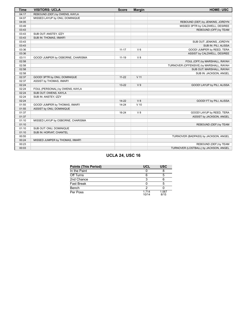| <b>Time</b> | <b>VISITORS: UCLA</b>             | <b>Score</b> | <b>Margin</b>  | <b>HOME: USC</b>                        |
|-------------|-----------------------------------|--------------|----------------|-----------------------------------------|
| 04:17       | REBOUND (DEF) by OWENS, KAYLA     |              |                |                                         |
| 04:07       | MISSED LAYUP by ONU, DOMINIQUE    |              |                |                                         |
| 04:05       |                                   |              |                | REBOUND (DEF) by JENKINS, JORDYN        |
| 03:49       |                                   |              |                | MISSED 3PTR by CALDWELL, DESIREE        |
| 03:43       |                                   |              |                | REBOUND (OFF) by TEAM                   |
| 03:43       | SUB OUT: ANSTEY, IZZY             |              |                |                                         |
| 03:43       | SUB IN: THOMAS, IIMAR'I           |              |                |                                         |
| 03:43       |                                   |              |                | SUB OUT: JENKINS, JORDYN                |
| 03:43       |                                   |              |                | SUB IN: PILI, ALISSA                    |
| 03:36       |                                   | $11 - 17$    | $V_6$          | GOOD! JUMPER by REED, TERA              |
| 03:36       |                                   |              |                | ASSIST by CALDWELL, DESIREE             |
| 03:11       | GOOD! JUMPER by OSBORNE, CHARISMA | $11 - 19$    | V8             |                                         |
| 02:58       |                                   |              |                | FOUL (OFF) by MARSHALL, RAYAH           |
| 02:58       |                                   |              |                | TURNOVER (OFFENSIVE) by MARSHALL, RAYAH |
| 02:58       |                                   |              |                | SUB OUT: MARSHALL, RAYAH                |
| 02:58       |                                   |              |                | SUB IN: JACKSON, ANGEL                  |
| 02:37       | GOOD! 3PTR by ONU, DOMINIQUE      | $11 - 22$    | $V$ 11         |                                         |
| 02:37       | ASSIST by THOMAS, IIMAR'I         |              |                |                                         |
| 02:24       |                                   | $13 - 22$    | V <sub>9</sub> | GOOD! LAYUP by PILI, ALISSA             |
| 02:24       | FOUL (PERSONAL) by OWENS, KAYLA   |              |                |                                         |
| 02:24       | SUB OUT: OWENS, KAYLA             |              |                |                                         |
| 02:24       | SUB IN: ANSTEY, IZZY              |              |                |                                         |
| 02:24       |                                   | $14 - 22$    | V8             | GOOD! FT by PILI, ALISSA                |
| 01:55       | GOOD! JUMPER by THOMAS, IIMAR'I   | $14 - 24$    | $V$ 10         |                                         |
| 01:55       | ASSIST by ONU, DOMINIQUE          |              |                |                                         |
| 01:37       |                                   | 16-24        | V8             | GOOD! LAYUP by REED, TERA               |
| 01:37       |                                   |              |                | ASSIST by JACKSON, ANGEL                |
| 01:10       | MISSED LAYUP by OSBORNE, CHARISMA |              |                |                                         |
| 01:10       |                                   |              |                | REBOUND (DEF) by TEAM                   |
| 01:10       | SUB OUT: ONU, DOMINIQUE           |              |                |                                         |
| 01:10       | SUB IN: HORVAT, CHANTEL           |              |                |                                         |
| 00:55       |                                   |              |                | TURNOVER (BADPASS) by JACKSON, ANGEL    |
| 00:24       | MISSED JUMPER by THOMAS, IIMAR'I  |              |                |                                         |
| 00:23       |                                   |              |                | REBOUND (DEF) by TEAM                   |
| 00:03       |                                   |              |                | TURNOVER (LOSTBALL) by JACKSON, ANGEL   |

## **UCLA 24, USC 16**

| <b>Points (This Period)</b> | UCL              | <b>USC</b>    |
|-----------------------------|------------------|---------------|
| In the Paint                |                  |               |
| Off Turns                   |                  |               |
| 2nd Chance                  |                  |               |
| <b>Fast Break</b>           |                  |               |
| Bench                       |                  |               |
| Per Poss                    | 1 7 1 4<br>10/14 | 1.067<br>8/15 |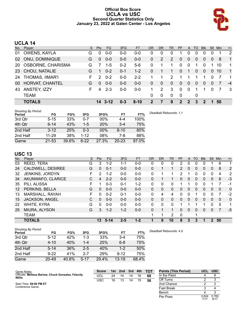#### **Official Box Score UCLA vs USC Second Quarter Statistics Only January 23, 2022 at Galen Center - Los Angeles**



## **UCLA 14**

| No.       | Plaver                   | S | <b>Pts</b>    | FG.             | 3FG     | <b>FT</b> | OR | <b>DR</b> | TR            | <b>PF</b>    | A              | TO             | <b>Blk</b> | Stl      | Min | $+/-$          |
|-----------|--------------------------|---|---------------|-----------------|---------|-----------|----|-----------|---------------|--------------|----------------|----------------|------------|----------|-----|----------------|
| 01        | OWENS, KAYLA             | G |               | $0 - 0$         | 0-0     | $0 - 0$   | 0  | 0         | 0             |              |                | 0              | 0          |          |     | 2              |
| 02        | ONU, DOMINIQUE           | G | $\Omega$      | $0 - 0$         | $0 - 0$ | $0-0$     | 0  | 2         | 2             | $\Omega$     | $\overline{0}$ | 0              | 0          | $\Omega$ | 8   | $\mathbf{1}$   |
| <b>20</b> | <b>OSBORNE, CHARISMA</b> | G |               | $1 - 5$         | $0 - 2$ | $5-6$     | 0  | 1         | 1             | $\Omega$     | $\mathbf 0$    | 1              | 0          |          | 10  | $\overline{1}$ |
| 23        | CHOU, NATALIE            | G | 1.            | $0 - 2$         | $0 - 1$ | $1 - 2$   | 0  |           | 1             | $\Omega$     | $\overline{1}$ | $\overline{0}$ | $\Omega$   | $\Omega$ | 10  | $\overline{1}$ |
| 24        | <b>THOMAS, IIMAR'I</b>   | F | $\mathcal{P}$ | $0 - 2$         | $0 - 0$ | $2 - 2$   |    |           | $\mathcal{P}$ |              |                |                |            | $\Omega$ |     | $\overline{1}$ |
| 00        | HORVAT, CHANTEL          | G | $\Omega$      | $0 - 0$         | $0 - 0$ | $0-0$     | 0  | 0         | 0             | $\Omega$     | 0              | 0              | 0          | $\Omega$ |     | $-4$           |
| 43        | ANSTEY, IZZY             | F | Δ             | $2 - 3$         | $0 - 0$ | $0-0$     |    | 2         | 3             | $\Omega$     | $\mathbf 0$    |                | 1          | $\Omega$ |     | -3             |
|           | <b>TEAM</b>              |   |               |                 |         |           | 0  | 0         | $\Omega$      | 0            |                | 0              |            |          |     |                |
|           | <b>TOTALS</b>            |   |               | $14 \quad 3-12$ | $0 - 3$ | $8 - 10$  | 2  |           | 9             | $\mathbf{P}$ | 2              | 3              | 2          |          | 50  |                |

| <b>Shooting By Period</b><br>Period | FG        | FG%   | 3FG      | 3FG%       | FT        | FT%   | Deadball Rebounds: 1,1 |
|-------------------------------------|-----------|-------|----------|------------|-----------|-------|------------------------|
| 3rd Qtr                             | $5 - 15$  | 33%   | $0 - 7$  | 00%        | 4-4       | 100%  |                        |
| 4th Qtr                             | $6 - 14$  | 43%   | $1 - 5$  | <b>20%</b> | $3 - 4$   | 75%   |                        |
| 2nd Half                            | $3 - 12$  | 25%   | $0 - 3$  | 00%        | $8 - 10$  | 80%   |                        |
| 2nd Half                            | $11 - 29$ | 38%   | $1 - 12$ | 08%        | 7-8       | 88%   |                        |
| Game                                | $21 - 53$ | 39.6% | $6 - 22$ | 27.3%      | $20 - 23$ | 87.0% |                        |

## **USC 13**

| No. | Player            | S  | <b>Pts</b> | <b>FG</b> | 3FG     | <b>FT</b> | 0R       | <b>DR</b> | <b>TR</b>    | <b>PF</b> | A            | TO       | <b>B</b> lk | Stl          | Min | $+/-$        |
|-----|-------------------|----|------------|-----------|---------|-----------|----------|-----------|--------------|-----------|--------------|----------|-------------|--------------|-----|--------------|
| 03  | REED, TERA        | G  | 3          | $1 - 2$   | 1-1     | $0 - 0$   | 0        | 0         | 0            | 2         | 0            | 0        | 0           |              | 6   | 1            |
| 24  | CALDWELL, DESIREE | G  | $\Omega$   | $0 - 1$   | $0 - 0$ | $0 - 0$   | 0        |           | 1            | 2         | $\mathbf{0}$ | $\Omega$ | 0           | $\Omega$     | 8   | 2            |
| 32  | JENKINS, JORDYN   | F  | 2          | $1 - 2$   | $0 - 0$ | $0-0$     | 0        |           | 1            | 2         |              | $\Omega$ | 0           | 0            | 4   | 2            |
| 34  | AKUNWAFO, CLARICE | С  | 4          | $2 - 2$   | $0 - 0$ | $0 - 0$   | 0        |           | 1.           | 0         | $\mathbf{0}$ | $\Omega$ | 0           | $\mathbf{0}$ | 6   | $-3$         |
| 35  | PILI, ALISSA      | F  |            | $0 - 3$   | $0 - 1$ | $1 - 2$   | 0        | 0         | 0            |           |              | ∩        | 0           |              |     | $-1$         |
| 12  | PERKINS, BELLA    | G  | 0          | $0 - 0$   | $0 - 0$ | $0 - 0$   | $\Omega$ | 0         | 0            | 0         | $\mathbf{0}$ | $\Omega$ | 0           | $\mathbf{0}$ | 0   | $\mathbf{0}$ |
| 13  | MARSHALL, RAYAH   | F. | $\Omega$   | $0 - 2$   | $0 - 1$ | $0-0$     | 0        | 4         | 4            | 0         | 0            |          | 0           | 0            | 7   | $-2$         |
| 15  | JACKSON, ANGEL    | C  | $\Omega$   | $0 - 0$   | $0 - 0$ | $0 - 0$   | $\Omega$ | 0         | 0            | 0         | $\mathbf{0}$ | $\Omega$ | $\Omega$    | $\Omega$     | 0   | $\mathbf{0}$ |
| 22  | WHITE, KYRA       | G  | $\Omega$   | $0 - 0$   | $0 - 0$ | $0 - 0$   | 0        | 0         | $\mathbf{0}$ |           |              |          |             | 0            | 5   | 1            |
| 25  | MIURA, ALYSON     | G  | 3          | $1 - 2$   | $1 - 2$ | $0 - 0$   | $\Omega$ |           | 1.           | 0         | $\Omega$     | $\Omega$ | 0           | 0            |     | $-5$         |
|     | <b>TEAM</b>       |    |            |           |         |           | 1        | 1         | 2            | 0         |              | 1        |             |              |     |              |
|     | <b>TOTALS</b>     |    | 13         | $5 - 14$  | $2 - 5$ | $1 - 2$   |          | 9         | 10           | 8         | 3            | 3        | 1           | 2            | 50  |              |

| <b>Shooting By Period</b> |           |       |          |       |           |       |
|---------------------------|-----------|-------|----------|-------|-----------|-------|
| Period                    | FG        | FG%   | 3FG      | 3FG%  | FT        | FT%   |
| 3rd Qtr                   | $5 - 12$  | 42%   | 1-3      | 33%   | 3-4       | 75%   |
| 4th Qtr                   | $4 - 10$  | 40%   | $1 - 4$  | 25%   | $6 - 8$   | 75%   |
| 2nd Half                  | $5 - 14$  | 36%   | $2 - 5$  | 40%   | $1 - 2$   | 50%   |
| 2nd Half                  | $9 - 22$  | 41%   | 2-7      | 29%   | $9 - 12$  | 75%   |
| Game                      | $20 - 49$ | 40.8% | $5 - 17$ | 29.4% | $13 - 19$ | 68.4% |

*Deadball Rebounds:* 4,0

| Game Notes:                                                   | <b>Score</b> | 1st | 2nd | 3rd | 4th | <b>TOT</b> | <b>Points (This Period)</b> | <b>UCL</b> | <b>USC</b> |
|---------------------------------------------------------------|--------------|-----|-----|-----|-----|------------|-----------------------------|------------|------------|
| Officials: Melissa Barlow, Chuck Gonzalez, Felecity<br>Willis | UCL          | 24  | 14  | 14  | 16  | 68         | In the Paint                |            |            |
|                                                               | USC          | 16  |     | 14  | 15  | 58         | Off Turns                   |            |            |
| Start Time: 09:00 PM ET                                       |              |     |     |     |     |            | 2nd Chance                  |            |            |
| Conference Game:                                              |              |     |     |     |     |            | <b>Fast Break</b>           |            |            |
|                                                               |              |     |     |     |     |            | Bench                       |            |            |
|                                                               |              |     |     |     |     |            | Per Poss                    | 0.824      | 0.765      |

7/17 0.765 6/17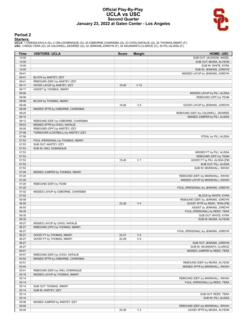#### **Official Play-By-Play UCLA vs USC Second Quarter January 23, 2022 at Galen Center - Los Angeles**



#### **Period 2**

<mark>Starters:</mark><br>UCLA: 1 OWENS,KAYLA (G); 2 ONU,DOMINIQUE (G); 20 OSBORNE,CHARISMA (G); 23 CHOU,NATALIE (G); 24 THOMAS,IIMAR'I (F);<br>USC: 3 REED,TERA (G); 24 CALDWELL,DESIREE (G); 32 JENKINS,JORDYN (F); 34 AKUNWAFO,CLARICE (C);

| <b>Time</b>    | <b>VISITORS: UCLA</b>               | <b>Score</b> | <b>Margin</b>  | <b>HOME: USC</b>                                                |
|----------------|-------------------------------------|--------------|----------------|-----------------------------------------------------------------|
| 10:00          |                                     |              |                | SUB OUT: JACKSON, ANGEL                                         |
| 10:00          |                                     |              |                | SUB OUT: MIURA, ALYSON                                          |
| 10:00          |                                     |              |                | SUB IN: WHITE, KYRA                                             |
| 10:00          |                                     |              |                | SUB IN: JENKINS, JORDYN                                         |
| 09:41          |                                     |              |                | MISSED LAYUP by JENKINS, JORDYN                                 |
| 09:41          | BLOCK by ANSTEY, IZZY               |              |                |                                                                 |
| 09:41<br>09:17 | REBOUND (DEF) by ANSTEY, IZZY       |              | $V$ 10         |                                                                 |
|                | GOOD! LAYUP by ANSTEY, IZZY         | 16-26        |                |                                                                 |
| 09:17<br>08:56 | ASSIST by THOMAS, IIMAR'I           |              |                | MISSED LAYUP by PILI, ALISSA                                    |
| 08:56          |                                     |              |                | REBOUND (OFF) by TEAM                                           |
| 08:56          | BLOCK by THOMAS, IIMAR'I            |              |                |                                                                 |
| 08:48          |                                     | 18-26        | V8             | GOOD! LAYUP by JENKINS, JORDYN                                  |
| 08:28          | MISSED 3PTR by OSBORNE, CHARISMA    |              |                |                                                                 |
| 08:25          |                                     |              |                | REBOUND (DEF) by CALDWELL, DESIREE                              |
| 08:15          |                                     |              |                | MISSED JUMPER by PILI, ALISSA                                   |
| 08:12          | REBOUND (DEF) by OSBORNE, CHARISMA  |              |                |                                                                 |
| 08:03          | MISSED 3PTR by CHOU, NATALIE        |              |                |                                                                 |
| 08:00          | REBOUND (OFF) by ANSTEY, IZZY       |              |                |                                                                 |
| 07:58          | TURNOVER (LOSTBALL) by ANSTEY, IZZY |              |                |                                                                 |
| 07:58          |                                     |              |                | STEAL by PILI, ALISSA                                           |
| 07:53          | FOUL (PERSONAL) by THOMAS, IIMAR'I  |              |                |                                                                 |
| 07:53          | SUB OUT: ANSTEY, IZZY               |              |                |                                                                 |
| 07:53          | SUB IN: ONU, DOMINIQUE              |              |                |                                                                 |
| 07:53          |                                     |              |                | MISSED FT by PILI, ALISSA                                       |
| 07:53          |                                     |              |                | REBOUND (OFF) by TEAM                                           |
| 07:53          |                                     | 19-26        | V <sub>7</sub> | GOOD! FT by PILI, ALISSA [FB]                                   |
| 07:53          |                                     |              |                | SUB OUT: PILI, ALISSA                                           |
| 07:53          |                                     |              |                | SUB IN: MARSHALL, RAYAH                                         |
| 07:29          | MISSED JUMPER by THOMAS, IIMAR'I    |              |                |                                                                 |
| 07:24          |                                     |              |                | REBOUND (DEF) by MARSHALL, RAYAH                                |
| 07:20          |                                     |              |                | MISSED LAYUP by MARSHALL, RAYAH                                 |
| 07:20          | REBOUND (DEF) by TEAM               |              |                |                                                                 |
| 07:20          |                                     |              |                | FOUL (PERSONAL) by JENKINS, JORDYN                              |
| 07:02          | MISSED LAYUP by OSBORNE, CHARISMA   |              |                |                                                                 |
| 07:02<br>06:58 |                                     |              |                | BLOCK by WHITE, KYRA<br>REBOUND (DEF) by JENKINS, JORDYN        |
| 06:55          |                                     | 22-26        | V <sub>4</sub> | GOOD! 3PTR by REED, TERA [FB]                                   |
| 06:55          |                                     |              |                | ASSIST by JENKINS, JORDYN                                       |
| 06:35          |                                     |              |                | FOUL (PERSONAL) by REED, TERA                                   |
| 06:35          |                                     |              |                | SUB OUT: WHITE, KYRA                                            |
| 06:35          |                                     |              |                | SUB IN: MIURA, ALYSON                                           |
| 06:27          | MISSED LAYUP by CHOU, NATALIE       |              |                |                                                                 |
| 06:27          | REBOUND (OFF) by THOMAS, IIMAR'I    |              |                |                                                                 |
| 06:27          |                                     |              |                | FOUL (PERSONAL) by JENKINS, JORDYN                              |
| 06:27          | GOOD! FT by THOMAS, IIMAR'I         | $22 - 27$    | V <sub>5</sub> |                                                                 |
| 06:27          | GOOD! FT by THOMAS, IIMAR'I         | 22-28        | $V_6$          |                                                                 |
| 06:27          |                                     |              |                | SUB OUT: JENKINS, JORDYN                                        |
| 06:27          |                                     |              |                | SUB IN: AKUNWAFO, CLARICE                                       |
| 06:01          |                                     |              |                | MISSED JUMPER by REED, TERA                                     |
| 05:57          | REBOUND (DEF) by CHOU, NATALIE      |              |                |                                                                 |
| 05:54          | MISSED 3PTR by OSBORNE, CHARISMA    |              |                |                                                                 |
| 05:51          |                                     |              |                | REBOUND (DEF) by MIURA, ALYSON                                  |
| 05:44          |                                     |              |                | MISSED 3PTR by MARSHALL, RAYAH                                  |
| 05:41          | REBOUND (DEF) by ONU, DOMINIQUE     |              |                |                                                                 |
| 05:16          | MISSED LAYUP by THOMAS, IIMAR'I     |              |                |                                                                 |
| 05:14          |                                     |              |                | REBOUND (DEF) by MARSHALL, RAYAH                                |
| 05:14          |                                     |              |                | FOUL (PERSONAL) by REED, TERA                                   |
| 05:14          | SUB OUT: THOMAS, IIMAR'I            |              |                |                                                                 |
| 05:14          | SUB IN: ANSTEY, IZZY                |              |                |                                                                 |
| 05:14          |                                     |              |                | SUB OUT: REED, TERA                                             |
| 05:14          |                                     |              |                | SUB IN: PILI, ALISSA                                            |
| 05:06          | MISSED JUMPER by ANSTEY, IZZY       |              |                |                                                                 |
| 05:04          |                                     | 25-28        | $V_3$          | REBOUND (DEF) by MARSHALL, RAYAH<br>GOOD! 3PTR by MIURA, ALYSON |
| 04:45          |                                     |              |                |                                                                 |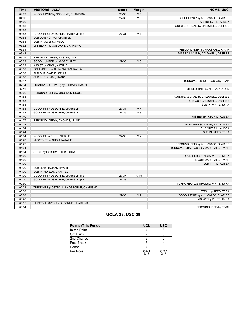| $25 - 30$<br>V <sub>5</sub><br>04:23<br>GOOD! LAYUP by OSBORNE, CHARISMA<br>$V_3$<br>04:00<br>27-30<br>GOOD! LAYUP by AKUNWAFO, CLARICE<br>04:00<br>ASSIST by PILI, ALISSA<br>03:53<br>FOUL (PERSONAL) by CALDWELL, DESIREE |  |
|-----------------------------------------------------------------------------------------------------------------------------------------------------------------------------------------------------------------------------|--|
|                                                                                                                                                                                                                             |  |
|                                                                                                                                                                                                                             |  |
|                                                                                                                                                                                                                             |  |
|                                                                                                                                                                                                                             |  |
| 03:53                                                                                                                                                                                                                       |  |
| 03:53<br>V <sub>4</sub><br>GOOD! FT by OSBORNE, CHARISMA [FB]<br>27-31                                                                                                                                                      |  |
| 03:53<br>SUB OUT: HORVAT, CHANTEL                                                                                                                                                                                           |  |
| 03:53<br>SUB IN: OWENS, KAYLA                                                                                                                                                                                               |  |
| 03:52<br>MISSED FT by OSBORNE, CHARISMA                                                                                                                                                                                     |  |
| 03:51<br>REBOUND (DEF) by MARSHALL, RAYAH                                                                                                                                                                                   |  |
| 03:42<br>MISSED LAYUP by CALDWELL, DESIREE                                                                                                                                                                                  |  |
| 03:39<br>REBOUND (DEF) by ANSTEY, IZZY                                                                                                                                                                                      |  |
| GOOD! JUMPER by ANSTEY, IZZY<br>03:22<br>27-33<br>$V_6$                                                                                                                                                                     |  |
| 03:22<br>ASSIST by CHOU, NATALIE                                                                                                                                                                                            |  |
| 03:08<br>FOUL (PERSONAL) by OWENS, KAYLA                                                                                                                                                                                    |  |
| 03:08<br>SUB OUT: OWENS, KAYLA                                                                                                                                                                                              |  |
| 03:08<br>SUB IN: THOMAS, IIMAR'I                                                                                                                                                                                            |  |
| 02:47<br>TURNOVER (SHOTCLOCK) by TEAM                                                                                                                                                                                       |  |
| 02:34<br>TURNOVER (TRAVEL) by THOMAS, IIMAR'I                                                                                                                                                                               |  |
| 02:11<br>MISSED 3PTR by MIURA, ALYSON                                                                                                                                                                                       |  |
| 02:06<br>REBOUND (DEF) by ONU, DOMINIQUE                                                                                                                                                                                    |  |
| 01:53<br>FOUL (PERSONAL) by CALDWELL, DESIREE                                                                                                                                                                               |  |
| 01:53<br>SUB OUT: CALDWELL, DESIREE                                                                                                                                                                                         |  |
| 01:53<br>SUB IN: WHITE, KYRA                                                                                                                                                                                                |  |
| 01:53<br>GOOD! FT by OSBORNE, CHARISMA<br>27-34<br>V <sub>7</sub>                                                                                                                                                           |  |
| GOOD! FT by OSBORNE, CHARISMA<br>V8<br>01:53<br>27-35                                                                                                                                                                       |  |
| 01:40<br>MISSED 3PTR by PILI, ALISSA                                                                                                                                                                                        |  |
| 01:37<br>REBOUND (DEF) by THOMAS, IIMAR'I                                                                                                                                                                                   |  |
| 01:24<br>FOUL (PERSONAL) by PILI, ALISSA                                                                                                                                                                                    |  |
| 01:24<br>SUB OUT: PILI, ALISSA                                                                                                                                                                                              |  |
| 01:24<br>SUB IN: REED, TERA                                                                                                                                                                                                 |  |
| 01:24<br>GOOD! FT by CHOU, NATALIE<br>V <sub>9</sub><br>27-36                                                                                                                                                               |  |
| 01:23<br>MISSED FT by CHOU, NATALIE                                                                                                                                                                                         |  |
| 01:22<br>REBOUND (DEF) by AKUNWAFO, CLARICE                                                                                                                                                                                 |  |
| TURNOVER (BADPASS) by MARSHALL, RAYAH<br>01:04                                                                                                                                                                              |  |
| 01:04<br>STEAL by OSBORNE, CHARISMA                                                                                                                                                                                         |  |
| 01:00<br>FOUL (PERSONAL) by WHITE, KYRA                                                                                                                                                                                     |  |
| 01:00<br>SUB OUT: MARSHALL, RAYAH                                                                                                                                                                                           |  |
| 01:00<br>SUB IN: PILI, ALISSA                                                                                                                                                                                               |  |
| 01:00<br>SUB OUT: THOMAS, IIMAR'I                                                                                                                                                                                           |  |
| 01:00<br>SUB IN: HORVAT, CHANTEL                                                                                                                                                                                            |  |
| 01:00<br>GOOD! FT by OSBORNE, CHARISMA [FB]<br>27-37<br>$V$ 10                                                                                                                                                              |  |
| V <sub>11</sub><br>01:00<br>GOOD! FT by OSBORNE, CHARISMA [FB]<br>27-38                                                                                                                                                     |  |
| 00:50<br>TURNOVER (LOSTBALL) by WHITE, KYRA                                                                                                                                                                                 |  |
| 00:38<br>TURNOVER (LOSTBALL) by OSBORNE, CHARISMA                                                                                                                                                                           |  |
| 00:38<br>STEAL by REED, TERA                                                                                                                                                                                                |  |
| 00:28<br>V <sub>9</sub><br>GOOD! LAYUP by AKUNWAFO, CLARICE<br>29-38                                                                                                                                                        |  |
| 00:28<br>ASSIST by WHITE, KYRA                                                                                                                                                                                              |  |
| 00:05<br>MISSED JUMPER by OSBORNE, CHARISMA                                                                                                                                                                                 |  |
| 00:04<br>REBOUND (DEF) by TEAM                                                                                                                                                                                              |  |

### **UCLA 38, USC 29**

| <b>Points (This Period)</b> | <b>UCL</b>    | <b>USC</b>    |
|-----------------------------|---------------|---------------|
| In the Paint                |               |               |
| Off Turns                   |               |               |
| 2nd Chance                  |               |               |
| <b>Fast Break</b>           |               |               |
| Bench                       |               |               |
| Per Poss                    | 0.824<br>7/17 | 0.765<br>6/17 |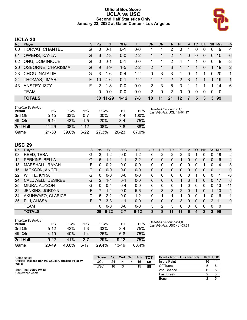#### **Official Box Score UCLA vs USC Second Half Statistics Only January 23, 2022 at Galen Center - Los Angeles**



#### **UCLA 30**

|           | No. Player             | S. | <b>Pts</b>    | FG       | 3FG      | <b>FT</b> | <b>OR</b>     | <b>DR</b> | TR. | <b>PF</b>     | $\mathsf{A}$ | TO.      | <b>BIK</b> | Stl          | Min. | $+/-$          |
|-----------|------------------------|----|---------------|----------|----------|-----------|---------------|-----------|-----|---------------|--------------|----------|------------|--------------|------|----------------|
| 00        | HORVAT, CHANTEL        | G  | 0             | $0 - 1$  | $0 - 1$  | 0-0       |               |           | 2   | 0             |              | $\Omega$ | 0          | 0            | 9    | $\overline{4}$ |
| 01        | <b>OWENS, KAYLA</b>    | G  | 6             | $2 - 3$  | $0 - 0$  | $2 - 2$   |               |           | 2   | 1             | $\Omega$     | $\Omega$ | $\Omega$   | $\Omega$     | 10   | -6             |
| 02        | ONU, DOMINIQUE         | G  | $\Omega$      | $0 - 1$  | $0 - 1$  | $0 - 0$   |               |           | 2   | 4             |              |          | 0          | 0            | 9    | -3             |
| <b>20</b> | OSBORNE, CHARISMA      | G. | 9             | $3-9$    | $1 - 5$  | $2 - 2$   | $\mathcal{P}$ | 1         | 3   | 1             |              | 1        | $\Omega$   | 1            | 19   | 2              |
| -23       | CHOU, NATALIE          | G  | 3             | $1 - 6$  | $0 - 4$  | $1 - 2$   | 0             | 3         | 3   | 1.            | $\Omega$     |          | 1          | $\mathbf{0}$ | -20  | $\mathbf{1}$   |
| 24        | <b>THOMAS, IIMAR'I</b> | F. | 10            | $4-6$    | $0 - 1$  | $2 - 2$   |               | 1         | 2   | $\mathcal{P}$ | -3           | -1       |            | 1            | -19  | $\mathbf{1}$   |
| 43        | ANSTEY, IZZY           | F. | $\mathcal{P}$ | $1 - 3$  | $0 - 0$  | $0 - 0$   | 2             | 3         | 5   | -3            |              |          |            |              | 14   | -6             |
|           | <b>TEAM</b>            |    | 0             | $0 - 0$  | $0 - 0$  | $0 - 0$   | 2             | 0         | 2   | $\Omega$      | $\Omega$     | $\Omega$ | $\Omega$   | $\Omega$     | - 0  |                |
|           | <b>TOTALS</b>          |    |               | 30 11-29 | $1 - 12$ | 7-8       | 10            | 11        | 21  | 12            |              | 5        | 3          |              | 3 99 |                |

| <b>Shooting By Period</b><br>Period | FG        | FG%   | 3FG      | 3FG%       | FT      | FT%   | Deadball Rebounds: 1,1<br>Last FG Half: UCL 4th-01:17 |
|-------------------------------------|-----------|-------|----------|------------|---------|-------|-------------------------------------------------------|
| 3rd Qtr                             | $5 - 15$  | 33%   | $0 - 7$  | 00%        | 4-4     | 100%  |                                                       |
| 4th Qtr                             | $6 - 14$  | 43%   | $1-5$    | <b>20%</b> | $3 - 4$ | 75%   |                                                       |
| 2nd Half                            | $11 - 29$ | 38%   | $1 - 12$ | 08%        | 7-8     | 88%   |                                                       |
| Game                                | $21 - 53$ | 39.6% | $6-22$   | 27.3%      | 20-23   | 87.0% |                                                       |

#### **USC 29**

| No. | Player            | S  | <b>Pts</b> | FG.      | 3FG     | <b>FT</b> | <b>OR</b> | <b>DR</b> | <b>TR</b> | PF            | A        | TO       | <b>Blk</b> | Stl           | Min | $+/-$          |
|-----|-------------------|----|------------|----------|---------|-----------|-----------|-----------|-----------|---------------|----------|----------|------------|---------------|-----|----------------|
| 03  | REED, TERA        | G  | 3          | $1 - 2$  | $0 - 0$ | 1-2       | 0         | 2         | 2         | 2             | 3        |          |            | 0             | 18  | $-2$           |
| 12  | PERKINS, BELLA    | G  | 5          | 1-1      | $1 - 1$ | $2 - 2$   | 0         | 0         | 0         |               | 0        | 0        | 0          | 0             | 6   | $\overline{4}$ |
| 13  | MARSHALL, RAYAH   | F. | 0          | $0 - 2$  | $0 - 0$ | $0 - 0$   | 0         | 0         | 0         | 0             | 0        | 0        |            | 0             | 4   | -8             |
| 15  | JACKSON, ANGEL    | C  | 0          | $0 - 0$  | $0 - 0$ | $0 - 0$   | $\Omega$  | 0         | 0         | 0             | 0        | 0        | 0          | 0             |     | $\Omega$       |
| 22  | WHITE, KYRA       | G  | 0          | $0 - 0$  | $0 - 0$ | $0 - 0$   | 0         | 0         | 0         | 0             | 0        |          | 0          | 0             |     | -6             |
| 24  | CALDWELL, DESIREE | G  | 2          | 1-4      | $0 - 1$ | $0 - 0$   | $\Omega$  | 0         | 0         | 1             | 3        | 1        | 0          | 0             | 17  | 6              |
| 25  | MIURA, ALYSON     | G  | U          | $0 - 4$  | $0 - 4$ | $0 - 0$   | $\Omega$  | $\Omega$  | 0         | 1             | 0        | $\Omega$ | 0          | 0             | 13  | $-11$          |
| 32  | JENKINS, JORDYN   | F  |            | $1 - 4$  | $0 - 0$ | $5-6$     | $\Omega$  | 3         | 3         | $\mathcal{P}$ | $\Omega$ |          | 0          |               | 13  | $\overline{4}$ |
| 34  | AKUNWAFO, CLARICE | С  | 5          | $2 - 2$  | $0 - 0$ | $1-2$     | $\Omega$  |           | 1         |               | 0        | 0        |            | 0             | 16  | -1             |
| 35  | PILI, ALISSA      | F  |            | $3 - 3$  | $1 - 1$ | $0 - 0$   | $\Omega$  | 0         | 0         | 3             | $\Omega$ | $\Omega$ | 0          | $\mathcal{P}$ | 11  | 9              |
|     | TEAM              |    | 0          | $0 - 0$  | $0 - 0$ | $0 - 0$   | 3         | 2         | 5         | 0             | 0        | $\Omega$ | 0          | 0             | 0   |                |
|     | <b>TOTALS</b>     |    | 29         | $9 - 22$ | $2 - 7$ | $9 - 12$  | 3         | 8         | 11        | 11            | 6        |          |            | 3             | 99  |                |

| <b>Shooting By Period</b><br>Period | FG       | FG%   | 3FG     | 3FG%  | FT        | FT%   | Dea<br>Lasi |
|-------------------------------------|----------|-------|---------|-------|-----------|-------|-------------|
| 3rd Qtr                             | $5 - 12$ | 42%   | 1-3     | 33%   | 3-4       | 75%   |             |
| 4th Otr                             | $4 - 10$ | 40%   | $1 - 4$ | 25%   | $6 - 8$   | 75%   |             |
| 2nd Half                            | $9 - 22$ | 41%   | $2 - 7$ | 29%   | $9 - 12$  | 75%   |             |
| Game                                | 20-49    | 40.8% | 5-17    | 29.4% | $13 - 19$ | 68.4% |             |

*Deadball Rebounds:* 4,0 *Last FG Half:* USC 4th-03:24

| Game Notes:                                                   | <b>Score</b> | 1st | 2 <sub>nd</sub> | 3rd | 4th | <b>TOT</b> | <b>Points from (This Period)</b> |    | <b>UCL USC</b> |
|---------------------------------------------------------------|--------------|-----|-----------------|-----|-----|------------|----------------------------------|----|----------------|
| Officials: Melissa Barlow, Chuck Gonzalez, Felecity<br>Willis | UCL          | 24  | 14              | 14  | 16  | 68         | In the Paint                     | 16 | 14             |
|                                                               | USC          | 16  |                 | 14  | 15  | 58         | Off Turns                        |    |                |
| Start Time: 09:00 PM ET                                       |              |     |                 |     |     |            | 2nd Chance                       |    |                |
| Conference Game:                                              |              |     |                 |     |     |            | <b>Fast Break</b>                |    |                |
|                                                               |              |     |                 |     |     |            | Bench                            |    |                |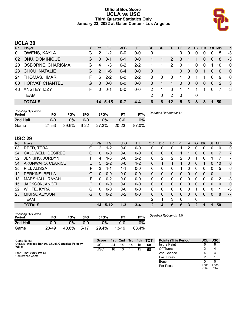#### **Official Box Score UCLA vs USC Third Quarter Statistics Only January 23, 2022 at Galen Center - Los Angeles**



## **UCLA 30**

| No.       | Plaver                   | S  | Pts           | FG      | 3FG     | <b>FT</b> | OR            | DR | TR                    | <b>PF</b>    | $\mathsf{A}$ | TO       | <b>Blk</b> | Stl            | Min | $+/-$          |
|-----------|--------------------------|----|---------------|---------|---------|-----------|---------------|----|-----------------------|--------------|--------------|----------|------------|----------------|-----|----------------|
| 01        | OWENS, KAYLA             | G  | 2             | $1 - 2$ | 0-0     | $0 - 0$   | 0             |    |                       | 0            | 0            | 0        | 0          |                | 5   | $-3$           |
| 02        | <b>ONU, DOMINIQUE</b>    | G  | $\Omega$      | $0 - 1$ | $0 - 1$ | $0-0$     |               |    | $\mathbf{2}^{\prime}$ | 3            |              |          | 0          | 0              | 8   | -3             |
| <b>20</b> | <b>OSBORNE, CHARISMA</b> | G  | 4             | $1 - 3$ | $0 - 2$ | $2 - 2$   |               | 1  | $\mathcal{P}$         | $\Omega$     | 1            | $\Omega$ | $\Omega$   |                | 10  | $\Omega$       |
| 23        | CHOU, NATALIE            | G  | $\mathcal{P}$ | $1 - 6$ | $0 - 4$ | $0 - 0$   | 0             | 1  | 1                     | $\mathbf{0}$ | $\Omega$     | $\Omega$ | 1          | $\overline{0}$ | 10  | $\overline{0}$ |
| 24        | THOMAS, IIMAR'I          | F. | 6             | $2 - 2$ | $0 - 0$ | $2 - 2$   | $\Omega$      | 0  | $\Omega$              | 1            | $\Omega$     |          |            |                | 9   | $\mathbf{0}$   |
| 00        | HORVAT, CHANTEL          | G  | $\Omega$      | $0 - 0$ | $0 - 0$ | $0 - 0$   | 0             |    |                       | $\Omega$     | 0            | $\Omega$ | 0          | $\overline{0}$ | 2   | $\mathbf{3}$   |
| 43        | ANSTEY, IZZY             | F. | $\Omega$      | $0 - 1$ | $0 - 0$ | $0 - 0$   | 2             | 1  | 3                     | 1            |              |          | 1          |                |     | -3             |
|           | <b>TEAM</b>              |    |               |         |         |           | $\mathcal{P}$ | 0  | 2                     | - 0          |              | 0        |            |                |     |                |
|           | <b>TOTALS</b>            |    |               | 14 5-15 | 0-7     | 4-4       | 6             | 6  | $12 \,$               | 5.           | 3            | 3        | 3          |                | 50  |                |

| <b>Shooting By Period</b><br>Period | FG        | FG%   | 3FG      | 3FG%  |           | FT%   | Deadball Rebounds: 1,1 |
|-------------------------------------|-----------|-------|----------|-------|-----------|-------|------------------------|
| 2nd Half                            | 0-0       | 0%    | $0 - 0$  | $0\%$ | 0-0       | 0%    |                        |
| Game                                | $21 - 53$ | 39.6% | $6 - 22$ | 27.3% | $20 - 23$ | 87.0% |                        |

#### **USC 29**

| No.               | Plaver            | S  | <b>Pts</b> | FG.      | 3FG     | <b>FT</b> | <b>OR</b> | <b>DR</b> | TR           | PF | A            | TO          | <b>Blk</b> | <b>Stl</b> | Min          | $+/-$          |
|-------------------|-------------------|----|------------|----------|---------|-----------|-----------|-----------|--------------|----|--------------|-------------|------------|------------|--------------|----------------|
| 03                | REED, TERA        | G  | 2          | $1 - 2$  | $0 - 0$ | $0-0$     | 0         | 0         | 0            |    | 2            | 0           | 0          | 0          | 10           | 0              |
| 24                | CALDWELL, DESIREE | G  | 0          | $0-0$    | $0 - 0$ | $0-0$     | $\Omega$  | 0         | 0            |    |              | 0           | 0          | 0          | 7            | $\overline{7}$ |
| 32                | JENKINS, JORDYN   | F  | 4          | 1-3      | $0 - 0$ | $2 - 2$   | 0         | 2         | 2            | 2  | 0            |             | 0          |            |              | 7              |
| 34                | AKUNWAFO, CLARICE | С  | 5          | $2 - 2$  | $0 - 0$ | $1 - 2$   | 0         |           | $\mathbf 1$  | 1  | $\Omega$     | 0           | 1          | 0          | 10           | $\Omega$       |
| 35                | PILI, ALISSA      | F  | 3          | 1-1      | $1 - 1$ | $0-0$     | 0         | 0         | 0            |    | 0            | 0           | 0          | 0          | 5            | 6              |
| $12 \overline{ }$ | PERKINS, BELLA    | G  | $\Omega$   | $0 - 0$  | $0 - 0$ | $0 - 0$   | $\Omega$  | 0         | 0            | 0  | $\Omega$     | $\Omega$    | 0          | 0          | 1            | 1              |
| 13                | MARSHALL, RAYAH   | F. | 0          | $0 - 2$  | $0 - 0$ | $0 - 0$   | 0         | 0         | $\mathbf{0}$ | 0  | 0            | 0           | 0          | 0          | 2            | -8             |
| 15                | JACKSON, ANGEL    | C  | 0          | $0 - 0$  | $0 - 0$ | $0 - 0$   | $\Omega$  | 0         | $\mathbf{0}$ | 0  | $\mathbf{0}$ | $\Omega$    | 0          | 0          | $\mathbf{0}$ | $\mathbf{0}$   |
| 22                | WHITE, KYRA       | G  | 0          | $0 - 0$  | $0 - 0$ | $0 - 0$   | 0         | 0         | 0            | 0  | 0            |             | 0          | 0          | 1            | $-6$           |
| 25                | MIURA, ALYSON     | G  | 0          | $0 - 2$  | $0 - 2$ | $0 - 0$   | $\Omega$  | 0         | $\Omega$     | 0  | $\Omega$     | 0           | 0          | 0          | 8            | $-7$           |
|                   | <b>TEAM</b>       |    |            |          |         |           | 2         | 1         | 3            | 0  |              | 0           |            |            |              |                |
|                   | <b>TOTALS</b>     |    | 14         | $5 - 12$ | $1 - 3$ | $3 - 4$   | 2         | 4         | 6            | 6  | 3            | $\mathbf 2$ |            | 1          | 50           |                |

| <b>Shooting By Period</b><br>Period | FG        | FG%   | 3FG    | 3FG%  | ET        | FT%   | Deadba |
|-------------------------------------|-----------|-------|--------|-------|-----------|-------|--------|
| 2nd Half                            | 0-0       | ን%    | ი-ი    | 0%    | 0-0       | 0%    |        |
| Game                                | $20 - 49$ | 40.8% | $5-17$ | 29.4% | $13 - 19$ | 68.4% |        |

*Deadball Rebounds:* 4,0

| Game Notes:                                                   | <b>Score</b> | 1st l | 2nd | $\blacksquare$ 3rd | 4th | <b>- тот</b> | <b>Points (This Period)</b> | <b>UCL</b>   | <b>USC</b>    |
|---------------------------------------------------------------|--------------|-------|-----|--------------------|-----|--------------|-----------------------------|--------------|---------------|
| Officials: Melissa Barlow, Chuck Gonzalez, Felecity<br>Willis | <b>UCL</b>   | 24    | 14  | 14                 | 16  | 68           | In the Paint                |              |               |
|                                                               | USC          | 16    | 13  | 14                 | 15  | 58           | Off Turns                   |              |               |
| Start Time: 09:00 PM ET                                       |              |       |     |                    |     |              | 2nd Chance                  |              |               |
| Conference Game;                                              |              |       |     |                    |     |              | <b>Fast Break</b>           |              |               |
|                                                               |              |       |     |                    |     |              | Bench                       |              |               |
|                                                               |              |       |     |                    |     |              | Per Poss                    | .000<br>7/14 | 1.000<br>7/14 |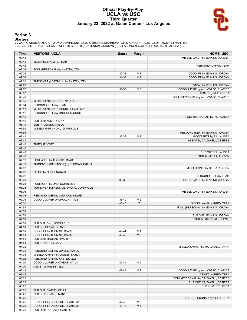#### **Official Play-By-Play UCLA vs USC Third Quarter January 23, 2022 at Galen Center - Los Angeles**



#### **Period 3**

<mark>Starters:</mark><br>UCLA: 1 OWENS,KAYLA (G); 2 ONU,DOMINIQUE (G); 20 OSBORNE,CHARISMA (G); 23 CHOU,NATALIE (G); 24 THOMAS,IIMAR'I (F);<br>USC: 3 REED,TERA (G); 24 CALDWELL,DESIREE (G); 32 JENKINS,JORDYN (F); 34 AKUNWAFO,CLARICE (C);

| <b>Time</b>    | <b>VISITORS: UCLA</b>                   | <b>Score</b> | <b>Margin</b>  | <b>HOME: USC</b>                               |
|----------------|-----------------------------------------|--------------|----------------|------------------------------------------------|
| 09:42          |                                         |              |                | MISSED LAYUP by JENKINS, JORDYN                |
| 09:42          | BLOCK by THOMAS, IIMAR'I                |              |                |                                                |
| 09:42          |                                         |              |                | REBOUND (OFF) by TEAM                          |
| 09:36          | FOUL (PERSONAL) by ANSTEY, IZZY         |              |                |                                                |
| 09:36          |                                         | 30-38        | V8             | GOOD! FT by JENKINS, JORDYN                    |
| 09:36          |                                         | 31-38        | V <sub>7</sub> | GOOD! FT by JENKINS, JORDYN                    |
| 09:20          | TURNOVER (LOSTBALL) by ANSTEY, IZZY     |              |                |                                                |
| 09:20          |                                         |              |                | STEAL by JENKINS, JORDYN                       |
| 09:07          |                                         | 33-38        | V <sub>5</sub> | GOOD! LAYUP by AKUNWAFO, CLARICE               |
| 09:07          |                                         |              |                | ASSIST by REED, TERA                           |
| 08:46          |                                         |              |                | FOUL (PERSONAL) by AKUNWAFO, CLARICE           |
| 08:35          | MISSED 3PTR by CHOU, NATALIE            |              |                |                                                |
| 08:34          | REBOUND (OFF) by TEAM                   |              |                |                                                |
| 08:17          | MISSED 3PTR by OSBORNE, CHARISMA        |              |                |                                                |
| 08:12          | REBOUND (OFF) by ONU, DOMINIQUE         |              |                |                                                |
| 08:10          |                                         |              |                | FOUL (PERSONAL) by PILI, ALISSA                |
| 08:10          | SUB OUT: ANSTEY, IZZY                   |              |                |                                                |
| 08:10          | SUB IN: OWENS, KAYLA                    |              |                |                                                |
| 07:59          | MISSED 3PTR by ONU, DOMINIQUE           |              |                |                                                |
| 07:56          |                                         |              |                | REBOUND (DEF) by JENKINS, JORDYN               |
| 07:41          |                                         | 36-38        | V <sub>2</sub> | GOOD! 3PTR by PILI, ALISSA                     |
| 07:41          |                                         |              |                | ASSIST by CALDWELL, DESIREE                    |
| 07:40          | TIMEOUT 30SEC                           |              |                |                                                |
| 07:40          |                                         |              |                |                                                |
| 07:40          |                                         |              |                | SUB OUT: PILI, ALISSA<br>SUB IN: MIURA, ALYSON |
| 07:40<br>07:19 | FOUL (OFF) by THOMAS, IIMAR'I           |              |                |                                                |
| 07:19          | TURNOVER (OFFENSIVE) by THOMAS, IIMAR'I |              |                |                                                |
| 07:02          |                                         |              |                | MISSED 3PTR by MIURA, ALYSON                   |
| 07:02          | BLOCK by CHOU, NATALIE                  |              |                |                                                |
| 07:02          |                                         |              |                | REBOUND (OFF) by TEAM                          |
| 06:49          |                                         | 38-38        | $\mathsf{T}$   | GOOD! LAYUP by JENKINS, JORDYN                 |
| 06:23          | FOUL (OFF) by ONU, DOMINIQUE            |              |                |                                                |
| 06:23          | TURNOVER (OFFENSIVE) by ONU, DOMINIQUE  |              |                |                                                |
| 06:06          |                                         |              |                | MISSED LAYUP by JENKINS, JORDYN                |
| 06:04          | REBOUND (DEF) by ONU, DOMINIQUE         |              |                |                                                |
| 05:36          | GOOD! JUMPER by CHOU, NATALIE           | 38-40        | V <sub>2</sub> |                                                |
| 05:20          |                                         | 40-40        | T              | GOOD! LAYUP by REED, TERA                      |
| 04:51          |                                         |              |                | FOUL (PERSONAL) by JENKINS, JORDYN             |
| 04:51          |                                         |              |                |                                                |
| 04:51          |                                         |              |                | SUB OUT: JENKINS, JORDYN                       |
| 04:51          |                                         |              |                | SUB IN: MARSHALL, RAYAH                        |
| 04:51          | SUB OUT: ONU, DOMINIQUE                 |              |                |                                                |
| 04:51          | SUB IN: HORVAT, CHANTEL                 |              |                |                                                |
| 04:51          | GOOD! FT by THOMAS, IIMAR'I             | 40-41        | V <sub>1</sub> |                                                |
| 04:51          | GOOD! FT by THOMAS, IIMAR'I             | 40-42        | V <sub>2</sub> |                                                |
| 04:51          | SUB OUT: THOMAS, IIMAR'I                |              |                |                                                |
| 04:51          | SUB IN: ANSTEY, IZZY                    |              |                |                                                |
| 04:32          |                                         |              |                | MISSED JUMPER by MARSHALL, RAYAH               |
| 04:30          | REBOUND (DEF) by OWENS, KAYLA           |              |                |                                                |
| 04:05          | MISSED JUMPER by OWENS, KAYLA           |              |                |                                                |
| 04:02          | REBOUND (OFF) by ANSTEY, IZZY           |              |                |                                                |
| 04:00          | GOOD! JUMPER by OWENS, KAYLA            | 40-44        | V <sub>4</sub> |                                                |
| 04:00          | ASSIST by ANSTEY, IZZY                  |              |                |                                                |
| 03:42          |                                         | 42-44        | V <sub>2</sub> | GOOD! LAYUP by AKUNWAFO, CLARICE               |
| 03:42          |                                         |              |                | ASSIST by REED, TERA                           |
| 03:25          |                                         |              |                | FOUL (PERSONAL) by CALDWELL, DESIREE           |
| 03:25          |                                         |              |                | SUB OUT: CALDWELL, DESIREE                     |
| 03:25          |                                         |              |                | SUB IN: WHITE, KYRA                            |
| 03:25          | SUB OUT: OWENS, KAYLA                   |              |                |                                                |
| 03:25          | SUB IN: THOMAS, IIMAR'I                 |              |                |                                                |
| 03:25          |                                         |              |                | FOUL (PERSONAL) by REED, TERA                  |
| 03:25          | GOOD! FT by OSBORNE, CHARISMA           | 42-45        | $V_3$          |                                                |
| 03:25          | GOOD! FT by OSBORNE, CHARISMA           | 42-46        | V <sub>4</sub> |                                                |
| 03:25          | SUB OUT: HORVAT, CHANTEL                |              |                |                                                |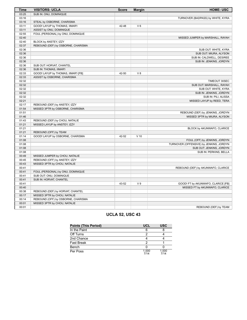| Time  | <b>VISITORS: UCLA</b>               | <b>Score</b> | <b>Margin</b>  | <b>HOME: USC</b>                        |
|-------|-------------------------------------|--------------|----------------|-----------------------------------------|
| 03:25 | SUB IN: ONU, DOMINIQUE              |              |                |                                         |
| 03:16 |                                     |              |                | TURNOVER (BADPASS) by WHITE, KYRA       |
| 03:16 | STEAL by OSBORNE, CHARISMA          |              |                |                                         |
| 03:11 | GOOD! LAYUP by THOMAS, IIMAR'I      | 42-48        | $V_6$          |                                         |
| 03:11 | ASSIST by ONU, DOMINIQUE            |              |                |                                         |
| 02:55 | FOUL (PERSONAL) by ONU, DOMINIQUE   |              |                |                                         |
| 02:40 |                                     |              |                | MISSED JUMPER by MARSHALL, RAYAH        |
| 02:40 | BLOCK by ANSTEY, IZZY               |              |                |                                         |
| 02:37 | REBOUND (DEF) by OSBORNE, CHARISMA  |              |                |                                         |
| 02:36 |                                     |              |                | SUB OUT: WHITE, KYRA                    |
| 02:36 |                                     |              |                | SUB OUT: MIURA, ALYSON                  |
| 02:36 |                                     |              |                | SUB IN: CALDWELL, DESIREE               |
| 02:36 |                                     |              |                | SUB IN: JENKINS, JORDYN                 |
| 02:36 | SUB OUT: HORVAT, CHANTEL            |              |                |                                         |
| 02:36 | SUB IN: THOMAS, IIMAR'I             |              |                |                                         |
| 02:33 | GOOD! LAYUP by THOMAS, IIMAR'I [FB] | 42-50        | $V_8$          |                                         |
| 02:33 | ASSIST by OSBORNE, CHARISMA         |              |                |                                         |
| 02:32 |                                     |              |                | TIMEOUT 30SEC                           |
| 02:32 |                                     |              |                | SUB OUT: MARSHALL, RAYAH                |
| 02:32 |                                     |              |                | SUB OUT: WHITE, KYRA                    |
| 02:32 |                                     |              |                | SUB IN: JENKINS, JORDYN                 |
| 02:32 |                                     |              |                | SUB IN: PILI, ALISSA                    |
| 02:21 |                                     |              |                | MISSED LAYUP by REED, TERA              |
| 02:17 | REBOUND (DEF) by ANSTEY, IZZY       |              |                |                                         |
| 01:54 | MISSED 3PTR by OSBORNE, CHARISMA    |              |                |                                         |
| 01:51 |                                     |              |                | REBOUND (DEF) by JENKINS, JORDYN        |
| 01:46 |                                     |              |                | MISSED 3PTR by MIURA, ALYSON            |
| 01:43 | REBOUND (DEF) by CHOU, NATALIE      |              |                |                                         |
| 01:21 | MISSED LAYUP by ANSTEY, IZZY        |              |                |                                         |
| 01:21 |                                     |              |                | BLOCK by AKUNWAFO, CLARICE              |
| 01:21 | REBOUND (OFF) by TEAM               |              |                |                                         |
| 01:14 | GOOD! LAYUP by OSBORNE, CHARISMA    | 42-52        | $V$ 10         |                                         |
| 01:08 |                                     |              |                | FOUL (OFF) by JENKINS, JORDYN           |
| 01:08 |                                     |              |                | TURNOVER (OFFENSIVE) by JENKINS, JORDYN |
| 01:08 |                                     |              |                | SUB OUT: JENKINS, JORDYN                |
| 01:08 |                                     |              |                | SUB IN: PERKINS, BELLA                  |
| 00:49 | MISSED JUMPER by CHOU, NATALIE      |              |                |                                         |
| 00:45 | REBOUND (OFF) by ANSTEY, IZZY       |              |                |                                         |
| 00:43 | MISSED 3PTR by CHOU, NATALIE        |              |                |                                         |
| 00:41 |                                     |              |                | REBOUND (DEF) by AKUNWAFO, CLARICE      |
| 00:41 | FOUL (PERSONAL) by ONU, DOMINIQUE   |              |                |                                         |
| 00:41 | SUB OUT: ONU, DOMINIQUE             |              |                |                                         |
| 00:41 | SUB IN: HORVAT, CHANTEL             |              |                |                                         |
| 00:41 |                                     | 43-52        | V <sub>9</sub> | GOOD! FT by AKUNWAFO, CLARICE [FB]      |
| 00:40 |                                     |              |                | MISSED FT by AKUNWAFO, CLARICE          |
| 00:38 | REBOUND (DEF) by HORVAT, CHANTEL    |              |                |                                         |
| 00:17 | MISSED 3PTR by CHOU, NATALIE        |              |                |                                         |
| 00:14 | REBOUND (OFF) by OSBORNE, CHARISMA  |              |                |                                         |
| 00:01 | MISSED 3PTR by CHOU, NATALIE        |              |                |                                         |
| 00:01 |                                     |              |                | REBOUND (DEF) by TEAM                   |
|       |                                     |              |                |                                         |

### **UCLA 52, USC 43**

| <b>Points (This Period)</b> | <b>UCL</b>    | <b>USC</b>    |
|-----------------------------|---------------|---------------|
| In the Paint                |               |               |
| Off Turns                   |               |               |
| 2nd Chance                  |               |               |
| <b>Fast Break</b>           |               |               |
| Bench                       |               |               |
| Per Poss                    | 1.000<br>7/14 | 1.000<br>7/14 |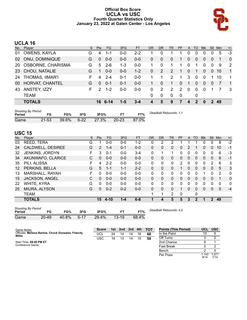#### **Official Box Score UCLA vs USC Fourth Quarter Statistics Only January 23, 2022 at Galen Center - Los Angeles**



## **UCLA 16**

| No.       | Player                 | S. | <b>Pts</b>    | <b>FG</b> | 3FG     | <b>FT</b> | OR | <b>DR</b>   | TR             | <b>PF</b> | A              | TO       | <b>Blk</b>     | Stl            | Min | $+/-$          |
|-----------|------------------------|----|---------------|-----------|---------|-----------|----|-------------|----------------|-----------|----------------|----------|----------------|----------------|-----|----------------|
| 01        | OWENS, KAYLA           | G  | 4             | 1-1       | $0 - 0$ | $2 - 2$   |    | 0           |                |           | 0              | 0        | 0              |                | 5   | $-3$           |
| 02        | <b>ONU, DOMINIQUE</b>  | G  | $\Omega$      | $0 - 0$   | $0 - 0$ | $0 - 0$   | 0  | 0           | $\overline{0}$ | 1         | 0              | 0        | 0              | $\overline{0}$ | 1   | $\overline{0}$ |
| <b>20</b> | OSBORNE, CHARISMA      | G  | 5             | $2 - 6$   | $1 - 3$ | $0 - 0$   |    | 0           |                | 1         | $\Omega$       | 1        | 0              | $\Omega$       | 9   | $\overline{2}$ |
|           | 23 CHOU, NATALIE       | G  | 1             | $0 - 0$   | $0 - 0$ | $1 - 2$   | 0  | 2           | 2              | 1         | $\overline{0}$ | 1        | $\overline{0}$ | $\overline{0}$ | 10  | $\overline{1}$ |
| 24        | <b>THOMAS, IIMAR'I</b> | F  | 4             | $2 - 4$   | $0 - 1$ | $0-0$     |    |             | 2              | 1         | 3              | $\Omega$ | 0              |                | 10  | $\overline{1}$ |
| 00        | HORVAT, CHANTEL        | G  | $\Omega$      | $0 - 1$   | $0 - 1$ | $0 - 0$   |    | $\mathbf 0$ |                | $\Omega$  | 1              | $\Omega$ | $\Omega$       | $\Omega$       |     | $\overline{1}$ |
| 43        | ANSTEY, IZZY           | F  | $\mathcal{P}$ | $1 - 2$   | $0 - 0$ | $0-0$     | 0  | 2           | 2              | 2         | $\Omega$       | $\Omega$ | $\Omega$       |                |     | -3             |
|           | <b>TEAM</b>            |    |               |           |         |           | 0  | 0           | $\Omega$       | 0         |                | 0        |                |                |     |                |
|           | <b>TOTALS</b>          |    |               | 6-14      | $1 - 5$ | $3 - 4$   | 4  | 5           | 9              | 7         | $\mathbf 4$    | 2        | O              | $\mathbf{P}$   | 49  |                |

| <b>Shooting By Period</b><br>Period |           | FG%   | 3FG    | 3FG%  |           | FT%   | Deadball Rebounds: 1,1 |
|-------------------------------------|-----------|-------|--------|-------|-----------|-------|------------------------|
| Game                                | $21 - 53$ | 39.6% | $6-22$ | 27.3% | $20 - 23$ | 87.0% |                        |

#### **USC 15**

| No. | Player                                       | S | Pts          | <b>FG</b> | 3FG     | <b>FT</b> | <b>OR</b> | <b>DR</b> | <b>TR</b>    | PF | A            | <b>TO</b>    | <b>Blk</b> | Stl          | Min      | $+/-$        |
|-----|----------------------------------------------|---|--------------|-----------|---------|-----------|-----------|-----------|--------------|----|--------------|--------------|------------|--------------|----------|--------------|
| 03  | REED, TERA                                   | G |              | $0 - 0$   | $0 - 0$ | $1 - 2$   | 0         | 2         | 2            |    |              |              | 0          | 0            | 8        | $-2$         |
| 24  | CALDWELL, DESIREE                            | G | 2            | $1 - 4$   | $0 - 1$ | $0-0$     | $\Omega$  | 0         | $\mathbf{0}$ | 0  | 2            | 1            | $\Omega$   | $\Omega$     | 10       | $-1$         |
| 32  | JENKINS, JORDYN                              | F | 3            | $0 - 1$   | $0 - 0$ | $3 - 4$   | 0         | 1         | 1            | 0  | 0            | 0            | 0          | 0            | 6        | $-3$         |
| 34  | AKUNWAFO, CLARICE                            | C | $\mathbf{0}$ | $0 - 0$   | $0 - 0$ | $0 - 0$   | $\Omega$  | 0         | $\Omega$     | 0  | $\mathbf{0}$ | 0            | 0          | $\mathbf{0}$ | 6        | $-1$         |
| 35  | PILI, ALISSA                                 | F | 4            | $2 - 2$   | $0 - 0$ | $0-0$     | 0         | 0         | $\mathbf{0}$ | 2  | 0            | 0            | 0          | 2            | 6        | 3            |
| 12  | PERKINS, BELLA                               | G | 5            | $1 - 1$   | $1 - 1$ | $2 - 2$   | $\Omega$  | 0         | $\Omega$     | 1  | 0            | $\mathbf{0}$ | $\Omega$   | $\mathbf{0}$ | 5        | 3            |
| 13  | MARSHALL, RAYAH                              | F | $\Omega$     | $0 - 0$   | $0 - 0$ | $0 - 0$   | 0         | 0         | $\mathbf{0}$ | 0  | 0            | $\Omega$     | 1          | 0            | 2        | 0            |
| 15  | <b>JACKSON, ANGEL</b>                        | C | $\Omega$     | $0 - 0$   | $0 - 0$ | $0 - 0$   | $\Omega$  | 0         | $\Omega$     | 0  | $\Omega$     | $\mathbf{0}$ | 0          | $\mathbf{0}$ |          | $\mathbf{0}$ |
| 22  | <b>WHITE, KYRA</b>                           | G | $\Omega$     | $0 - 0$   | $0 - 0$ | $0-0$     | 0         | $\Omega$  | $\mathbf{0}$ | 0  | 0            | $\Omega$     | 0          | 0            | $\Omega$ | $\mathbf{0}$ |
| 25  | MIURA, ALYSON                                | G | $\mathbf{0}$ | $0 - 2$   | $0 - 2$ | $0 - 0$   | $\Omega$  | 0         | $\Omega$     |    | 0            | $\Omega$     | $\Omega$   | $\mathbf{0}$ | 5        | $-4$         |
|     | TEAM                                         |   |              |           |         |           | 1         | 1         | 2            | 0  |              | 0            |            |              |          |              |
|     | <b>TOTALS</b>                                |   | 15           | $4 - 10$  | $1 - 4$ | $6 - 8$   | 1         | 4         | 5            | 5  | 3            | $\mathbf{2}$ | 1          | $\mathbf{p}$ | 49       |              |
|     | Shooting By Period<br>Deadhall Debaunder 4 0 |   |              |           |         |           |           |           |              |    |              |              |            |              |          |              |

| - - - - - - -<br>Period |       | FG%      | 3FG | 3FG%               | FT%   | υea |
|-------------------------|-------|----------|-----|--------------------|-------|-----|
| Game                    | 20-49 | $40.8\%$ |     | 5-17  29.4%  13-19 | 68.4% |     |

*Deadball Rebounds:* 4,0

Per Poss

8/14 1.071 7/14

| Game Notes:                                                   | <b>Score</b> | 1st | 2nd | 3rd | $-4th$ | $\overline{A}$ TOT | <b>Points (This Period)</b> | <b>UCL</b> | <b>USC</b> |
|---------------------------------------------------------------|--------------|-----|-----|-----|--------|--------------------|-----------------------------|------------|------------|
| Officials: Melissa Barlow, Chuck Gonzalez, Felecity<br>Willis | <b>UCL</b>   | 24  | 14  | 14  | 16     | 68                 | In the Paint                | 10         |            |
|                                                               | <b>USC</b>   | 16  |     | 14  | 15     | 58                 | Off Turns                   |            |            |
| Start Time: 09:00 PM ET                                       |              |     |     |     |        |                    | 2nd Chance                  |            |            |
| Conference Game:                                              |              |     |     |     |        |                    | <b>Fast Break</b>           |            |            |
|                                                               |              |     |     |     |        |                    | Bench                       |            |            |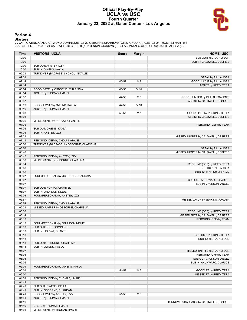#### **Official Play-By-Play UCLA vs USC Fourth Quarter January 23, 2022 at Galen Center - Los Angeles**



#### **Period 4**

<mark>Starters:</mark><br>UCLA: 1 OWENS,KAYLA (G); 2 ONU,DOMINIQUE (G); 20 OSBORNE,CHARISMA (G); 23 CHOU,NATALIE (G); 24 THOMAS,IIMAR'I (F);<br>USC: 3 REED,TERA (G); 24 CALDWELL,DESIREE (G); 32 JENKINS,JORDYN (F); 34 AKUNWAFO,CLARICE (C);

| Time           | <b>VISITORS: UCLA</b>                   | <b>Score</b> | <b>Margin</b>  | <b>HOME: USC</b>                                            |
|----------------|-----------------------------------------|--------------|----------------|-------------------------------------------------------------|
| 10:00          |                                         |              |                | SUB OUT: MIURA, ALYSON                                      |
| 10:00          |                                         |              |                | SUB IN: CALDWELL, DESIREE                                   |
| 10:00          | SUB OUT: ANSTEY, IZZY                   |              |                |                                                             |
| 10:00          | SUB IN: OWENS, KAYLA                    |              |                |                                                             |
| 09:31          | TURNOVER (BADPASS) by CHOU, NATALIE     |              |                |                                                             |
| 09:31          |                                         |              |                | STEAL by PILI, ALISSA                                       |
| 09:14          |                                         | 45-52        | V <sub>7</sub> | GOOD! LAYUP by PILI, ALISSA                                 |
| 09:14          |                                         |              |                | ASSIST by REED, TERA                                        |
| 08:54          | GOOD! 3PTR by OSBORNE, CHARISMA         | 45-55        | $V$ 10         |                                                             |
| 08:54          | ASSIST by THOMAS, IIMAR'I               |              |                |                                                             |
| 08:37          |                                         | 47-55        | $V_8$          | GOOD! JUMPER by PILI, ALISSA [PNT]                          |
| 08:37          |                                         |              |                | ASSIST by CALDWELL, DESIREE                                 |
| 08:19          | GOOD! LAYUP by OWENS, KAYLA             | 47-57        | $V$ 10         |                                                             |
| 08:19<br>08:03 | ASSIST by THOMAS, IIMAR'I               |              | V <sub>7</sub> |                                                             |
| 08:03          |                                         | 50-57        |                | GOOD! 3PTR by PERKINS, BELLA<br>ASSIST by CALDWELL, DESIREE |
| 07:36          |                                         |              |                |                                                             |
| 07:36          | MISSED 3PTR by HORVAT, CHANTEL          |              |                | REBOUND (DEF) by TEAM                                       |
| 07:36          | SUB OUT: OWENS, KAYLA                   |              |                |                                                             |
| 07:36          | SUB IN: ANSTEY, IZZY                    |              |                |                                                             |
| 07:21          |                                         |              |                | MISSED JUMPER by CALDWELL, DESIREE                          |
| 07:19          | REBOUND (DEF) by CHOU, NATALIE          |              |                |                                                             |
| 06:56          | TURNOVER (BADPASS) by OSBORNE, CHARISMA |              |                |                                                             |
| 06:56          |                                         |              |                | STEAL by PILI, ALISSA                                       |
| 06:48          |                                         |              |                | MISSED JUMPER by CALDWELL, DESIREE                          |
| 06:45          | REBOUND (DEF) by ANSTEY, IZZY           |              |                |                                                             |
| 06:18          | MISSED 3PTR by OSBORNE, CHARISMA        |              |                |                                                             |
| 06:14          |                                         |              |                | REBOUND (DEF) by REED, TERA                                 |
| 06:08          |                                         |              |                | SUB OUT: PILI, ALISSA                                       |
| 06:08          |                                         |              |                | SUB IN: JENKINS, JORDYN                                     |
| 06:07          | FOUL (PERSONAL) by OSBORNE, CHARISMA    |              |                |                                                             |
| 06:07          |                                         |              |                | SUB OUT: AKUNWAFO, CLARICE                                  |
| 06:07          |                                         |              |                | SUB IN: JACKSON, ANGEL                                      |
| 06:07          | SUB OUT: HORVAT, CHANTEL                |              |                |                                                             |
| 06:07          | SUB IN: ONU, DOMINIQUE                  |              |                |                                                             |
| 06:03          | FOUL (PERSONAL) by ANSTEY, IZZY         |              |                |                                                             |
| 05:57          |                                         |              |                | MISSED LAYUP by JENKINS, JORDYN                             |
| 05:54          | REBOUND (DEF) by CHOU, NATALIE          |              |                |                                                             |
| 05:29          | MISSED JUMPER by OSBORNE, CHARISMA      |              |                |                                                             |
| 05:26          |                                         |              |                | REBOUND (DEF) by REED, TERA                                 |
| 05:14          |                                         |              |                | MISSED 3PTR by CALDWELL, DESIREE                            |
| 05:13          |                                         |              |                | REBOUND (OFF) by TEAM                                       |
| 05:13          | FOUL (PERSONAL) by ONU, DOMINIQUE       |              |                |                                                             |
| 05:13          | SUB OUT: ONU, DOMINIQUE                 |              |                |                                                             |
| 05:13          | SUB IN: HORVAT, CHANTEL                 |              |                |                                                             |
| 05:13          |                                         |              |                | SUB OUT: PERKINS, BELLA                                     |
| 05:13          |                                         |              |                | SUB IN: MIURA, ALYSON                                       |
| 05:13          | SUB OUT: OSBORNE, CHARISMA              |              |                |                                                             |
| 05:13          | SUB IN: OWENS, KAYLA                    |              |                |                                                             |
| 05:07          |                                         |              |                | MISSED 3PTR by MIURA, ALYSON                                |
| 05:05          |                                         |              |                | REBOUND (OFF) by TEAM                                       |
| 05:05          |                                         |              |                | SUB OUT: JACKSON, ANGEL                                     |
| 05:05          |                                         |              |                | SUB IN: AKUNWAFO, CLARICE                                   |
| 05:01          | FOUL (PERSONAL) by OWENS, KAYLA         |              |                |                                                             |
| 05:01          |                                         | 51-57        | $V_6$          | GOOD! FT by REED, TERA                                      |
| 05:00          |                                         |              |                | MISSED FT by REED, TERA                                     |
| 04:59          | REBOUND (DEF) by THOMAS, IIMAR'I        |              |                |                                                             |
| 04:49          |                                         |              |                |                                                             |
| 04:49          | SUB OUT: OWENS, KAYLA                   |              |                |                                                             |
| 04:49          | SUB IN: OSBORNE, CHARISMA               |              |                |                                                             |
| 04:41          | GOOD! LAYUP by ANSTEY, IZZY             | 51-59        | V8             |                                                             |
| 04:41          | ASSIST by THOMAS, IIMAR'I               |              |                |                                                             |
| 04:19          |                                         |              |                | TURNOVER (BADPASS) by CALDWELL, DESIREE                     |
| 04:19          | STEAL by THOMAS, IIMAR'I                |              |                |                                                             |
| 04:01          | MISSED 3PTR by THOMAS, IIMAR'I          |              |                |                                                             |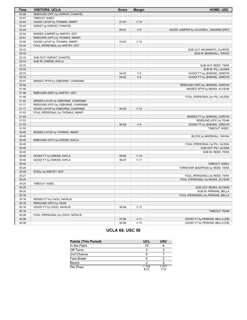| <b>Time</b> | <b>VISITORS: UCLA</b>              | <b>Score</b> | <b>Margin</b>    | <b>HOME: USC</b>                        |
|-------------|------------------------------------|--------------|------------------|-----------------------------------------|
| 03:58       | REBOUND (OFF) by HORVAT, CHANTEL   |              |                  |                                         |
| 03:57       | TIMEOUT 30SEC                      |              |                  |                                         |
| 03:44       | GOOD! LAYUP by THOMAS, IIMAR'I     | $51 - 61$    | $V$ 10           |                                         |
| 03:44       | ASSIST by HORVAT, CHANTEL          |              |                  |                                         |
| 03:24       |                                    | 53-61        | V8               | GOOD! JUMPER by CALDWELL, DESIREE [PNT] |
| 02:54       | MISSED JUMPER by ANSTEY, IZZY      |              |                  |                                         |
| 02:51       | REBOUND (OFF) by THOMAS, IIMAR'I   |              |                  |                                         |
| 02:50       | GOOD! LAYUP by THOMAS, IIMAR'I     | 53-63        | $V$ 10           |                                         |
| 02:33       | FOUL (PERSONAL) by ANSTEY, IZZY    |              |                  |                                         |
| 02:33       |                                    |              |                  | SUB OUT: AKUNWAFO, CLARICE              |
| 02:33       |                                    |              |                  | SUB IN: MARSHALL, RAYAH                 |
| 02:33       | SUB OUT: HORVAT, CHANTEL           |              |                  |                                         |
| 02:33       | SUB IN: OWENS, KAYLA               |              |                  |                                         |
| 02:33       |                                    |              |                  | SUB OUT: REED, TERA                     |
| 02:33       |                                    |              |                  | SUB IN: PILI, ALISSA                    |
| 02:33       |                                    | 54-63        | V <sub>9</sub>   | GOOD! FT by JENKINS, JORDYN             |
| 02:33       |                                    | 55-63        | V8               | GOOD! FT by JENKINS, JORDYN             |
| 02:07       | MISSED 3PTR by OSBORNE, CHARISMA   |              |                  |                                         |
| 02:04       |                                    |              |                  | REBOUND (DEF) by JENKINS, JORDYN        |
| 01:48       |                                    |              |                  | MISSED 3PTR by MIURA, ALYSON            |
| 01:46       | REBOUND (DEF) by ANSTEY, IZZY      |              |                  |                                         |
| 01:46       |                                    |              |                  | FOUL (PERSONAL) by PILI, ALISSA         |
| 01:22       | MISSED LAYUP by OSBORNE, CHARISMA  |              |                  |                                         |
| 01:17       | REBOUND (OFF) by OSBORNE, CHARISMA |              |                  |                                         |
| 01:17       | GOOD! LAYUP by OSBORNE, CHARISMA   | 55-65        | $V$ 10           |                                         |
| 01:03       | FOUL (PERSONAL) by THOMAS, IIMAR'I |              |                  |                                         |
| 01:03       |                                    |              |                  | MISSED FT by JENKINS, JORDYN            |
| 01:03       |                                    |              |                  | REBOUND (OFF) by TEAM                   |
| 01:03       |                                    | 56-65        | V <sub>9</sub>   | GOOD! FT by JENKINS, JORDYN             |
| 01:03       |                                    |              |                  | TIMEOUT 30SEC                           |
| 00:40       | MISSED LAYUP by THOMAS, IIMAR'I    |              |                  |                                         |
| 00:40       |                                    |              |                  | BLOCK by MARSHALL, RAYAH                |
| 00:40       | REBOUND (OFF) by OWENS, KAYLA      |              |                  |                                         |
| 00:40       |                                    |              |                  | FOUL (PERSONAL) by PILI, ALISSA         |
| 00:40       |                                    |              |                  | SUB OUT: PILI, ALISSA                   |
| 00:40       |                                    |              |                  | SUB IN: REED, TERA                      |
| 00:40       | GOOD! FT by OWENS, KAYLA           | 56-66        | $V$ 10           |                                         |
| 00:40       | GOOD! FT by OWENS, KAYLA           | 56-67        | $V$ 11           |                                         |
| 00:40       |                                    |              |                  | TIMEOUT 30SEC                           |
| 00:29       |                                    |              |                  | TURNOVER (BADPASS) by REED, TERA        |
| 00:29       | STEAL by ANSTEY, IZZY              |              |                  |                                         |
| 00:27       |                                    |              |                  | FOUL (PERSONAL) by REED, TERA           |
| 00:25       |                                    |              |                  | FOUL (PERSONAL) by MIURA, ALYSON        |
| 00:20       | TIMEOUT 30SEC                      |              |                  |                                         |
| 00:20       |                                    |              |                  | SUB OUT: MIURA, ALYSON                  |
| 00:20       |                                    |              |                  | SUB IN: PERKINS, BELLA                  |
| 00:16       |                                    |              |                  | FOUL (PERSONAL) by PERKINS, BELLA       |
| 00:16       | MISSED FT by CHOU, NATALIE         |              |                  |                                         |
| 00:16       | REBOUND (OFF) by TEAM              |              |                  |                                         |
| 00:16       | GOOD! FT by CHOU, NATALIE          | 56-68        | V <sub>12</sub>  |                                         |
| 00:16       |                                    |              |                  | <b>TIMEOUT TEAM</b>                     |
| 00:08       | FOUL (PERSONAL) by CHOU, NATALIE   |              |                  |                                         |
| 00:08       |                                    | 57-68        | $V$ 11<br>$V$ 10 | GOOD! FT by PERKINS, BELLA [FB]         |
| 00:08       |                                    | 58-68        |                  | GOOD! FT by PERKINS, BELLA [FB]         |

### **UCLA 68, USC 58**

| <b>Points (This Period)</b> | <b>UCL</b>    | <b>USC</b>    |
|-----------------------------|---------------|---------------|
| In the Paint                | 10            |               |
| Off Turns                   |               |               |
| 2nd Chance                  |               |               |
| <b>Fast Break</b>           |               |               |
| Bench                       |               |               |
| Per Poss                    | 1.143<br>8/14 | 1.071<br>7/14 |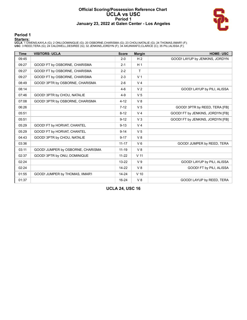#### **Official Scoring/Possession Reference Chart UCLA vs USC Period 1 January 23, 2022 at Galen Center - Los Angeles**



#### **Period 1**

<mark>Starters:</mark><br>UCLA: 1 OWENS,KAYLA (G); 2 ONU,DOMINIQUE (G); 20 OSBORNE,CHARISMA (G); 23 CHOU,NATALIE (G); 24 THOMAS,IIMAR'I (F);<br>USC: 3 REED,TERA (G); 24 CALDWELL,DESIREE (G); 32 JENKINS,JORDYN (F); 34 AKUNWAFO,CLARICE (C);

| <b>Time</b> | <b>VISITORS: UCLA</b>             | <b>Score</b> | <b>Margin</b>   | <b>HOME: USC</b>                 |
|-------------|-----------------------------------|--------------|-----------------|----------------------------------|
| 09:45       |                                   | $2 - 0$      | H <sub>2</sub>  | GOOD! LAYUP by JENKINS, JORDYN   |
| 09:27       | GOOD! FT by OSBORNE, CHARISMA     | $2 - 1$      | H <sub>1</sub>  |                                  |
| 09:27       | GOOD! FT by OSBORNE, CHARISMA     | $2 - 2$      | T               |                                  |
| 09:27       | GOOD! FT by OSBORNE, CHARISMA     | $2 - 3$      | V <sub>1</sub>  |                                  |
| 08:49       | GOOD! 3PTR by OSBORNE, CHARISMA   | $2-6$        | V <sub>4</sub>  |                                  |
| 08:14       |                                   | $4-6$        | V <sub>2</sub>  | GOOD! LAYUP by PILI, ALISSA      |
| 07:46       | GOOD! 3PTR by CHOU, NATALIE       | $4 - 9$      | V <sub>5</sub>  |                                  |
| 07:08       | GOOD! 3PTR by OSBORNE, CHARISMA   | $4 - 12$     | V8              |                                  |
| 06:26       |                                   | $7 - 12$     | V <sub>5</sub>  | GOOD! 3PTR by REED, TERA [FB]    |
| 05:51       |                                   | $8 - 12$     | V <sub>4</sub>  | GOOD! FT by JENKINS, JORDYN [FB] |
| 05:51       |                                   | $9 - 12$     | $V_3$           | GOOD! FT by JENKINS, JORDYN [FB] |
| 05:29       | GOOD! FT by HORVAT, CHANTEL       | $9 - 13$     | V <sub>4</sub>  |                                  |
| 05:29       | GOOD! FT by HORVAT, CHANTEL       | $9 - 14$     | V <sub>5</sub>  |                                  |
| 04:43       | GOOD! 3PTR by CHOU, NATALIE       | $9 - 17$     | V8              |                                  |
| 03:36       |                                   | $11 - 17$    | $V_6$           | GOOD! JUMPER by REED, TERA       |
| 03:11       | GOOD! JUMPER by OSBORNE, CHARISMA | $11 - 19$    | V8              |                                  |
| 02:37       | GOOD! 3PTR by ONU, DOMINIQUE      | $11 - 22$    | V <sub>11</sub> |                                  |
| 02:24       |                                   | $13 - 22$    | V <sub>9</sub>  | GOOD! LAYUP by PILI, ALISSA      |
| 02:24       |                                   | $14-22$      | $V_8$           | GOOD! FT by PILI, ALISSA         |
| 01:55       | GOOD! JUMPER by THOMAS, IIMAR'I   | $14 - 24$    | $V$ 10          |                                  |
| 01:37       |                                   | $16 - 24$    | V8              | GOOD! LAYUP by REED, TERA        |

**UCLA 24, USC 16**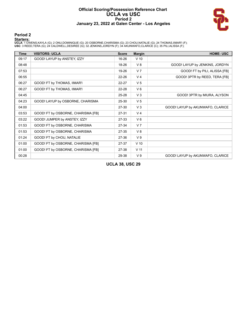#### **Official Scoring/Possession Reference Chart UCLA vs USC Period 2 January 23, 2022 at Galen Center - Los Angeles**



#### **Period 2**

#### **Starters:**

**UCLA**: 1 OWENS,KAYLA (G); 2 ONU,DOMINIQUE (G); 20 OSBORNE,CHARISMA (G); 23 CHOU,NATALIE (G); 24 THOMAS,IIMAR'I (F);<br>**USC**: 3 REED,TERA (G); 24 CALDWELL,DESIREE (G); 32 JENKINS,JORDYN (F); 34 AKUNWAFO,CLARICE (C); 35 PILI,

| Time  | <b>VISITORS: UCLA</b>              | <b>Score</b> | <b>Margin</b>   | <b>HOME: USC</b>                 |
|-------|------------------------------------|--------------|-----------------|----------------------------------|
| 09:17 | GOOD! LAYUP by ANSTEY, IZZY        | 16-26        | $V$ 10          |                                  |
| 08:48 |                                    | 18-26        | V8              | GOOD! LAYUP by JENKINS, JORDYN   |
| 07:53 |                                    | 19-26        | V <sub>7</sub>  | GOOD! FT by PILI, ALISSA [FB]    |
| 06:55 |                                    | $22 - 26$    | V <sub>4</sub>  | GOOD! 3PTR by REED, TERA [FB]    |
| 06:27 | GOOD! FT by THOMAS, IIMAR'I        | 22-27        | V <sub>5</sub>  |                                  |
| 06:27 | GOOD! FT by THOMAS, IIMAR'I        | 22-28        | $V_6$           |                                  |
| 04:45 |                                    | 25-28        | V <sub>3</sub>  | GOOD! 3PTR by MIURA, ALYSON      |
| 04:23 | GOOD! LAYUP by OSBORNE, CHARISMA   | 25-30        | V <sub>5</sub>  |                                  |
| 04:00 |                                    | 27-30        | $V_3$           | GOOD! LAYUP by AKUNWAFO, CLARICE |
| 03:53 | GOOD! FT by OSBORNE, CHARISMA [FB] | $27 - 31$    | V <sub>4</sub>  |                                  |
| 03:22 | GOOD! JUMPER by ANSTEY, IZZY       | 27-33        | $V_6$           |                                  |
| 01:53 | GOOD! FT by OSBORNE, CHARISMA      | 27-34        | V <sub>7</sub>  |                                  |
| 01:53 | GOOD! FT by OSBORNE, CHARISMA      | 27-35        | V8              |                                  |
| 01:24 | GOOD! FT by CHOU, NATALIE          | 27-36        | V <sub>9</sub>  |                                  |
| 01:00 | GOOD! FT by OSBORNE, CHARISMA [FB] | 27-37        | $V$ 10          |                                  |
| 01:00 | GOOD! FT by OSBORNE, CHARISMA [FB] | 27-38        | V <sub>11</sub> |                                  |
| 00:28 |                                    | 29-38        | V <sub>9</sub>  | GOOD! LAYUP by AKUNWAFO, CLARICE |

**UCLA 38, USC 29**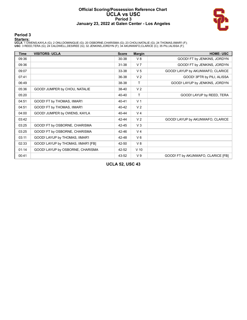#### **Official Scoring/Possession Reference Chart UCLA vs USC Period 3 January 23, 2022 at Galen Center - Los Angeles**



#### **Period 3**

<mark>Starters:</mark><br>UCLA: 1 OWENS,KAYLA (G); 2 ONU,DOMINIQUE (G); 20 OSBORNE,CHARISMA (G); 23 CHOU,NATALIE (G); 24 THOMAS,IIMAR'I (F);<br>USC: 3 REED,TERA (G); 24 CALDWELL,DESIREE (G); 32 JENKINS,JORDYN (F); 34 AKUNWAFO,CLARICE (C);

| Time  | <b>VISITORS: UCLA</b>               | <b>Score</b> | <b>Margin</b>  | <b>HOME: USC</b>                   |
|-------|-------------------------------------|--------------|----------------|------------------------------------|
| 09:36 |                                     | 30-38        | V8             | GOOD! FT by JENKINS, JORDYN        |
| 09:36 |                                     | $31 - 38$    | V <sub>7</sub> | GOOD! FT by JENKINS, JORDYN        |
| 09:07 |                                     | 33-38        | V <sub>5</sub> | GOOD! LAYUP by AKUNWAFO, CLARICE   |
| 07:41 |                                     | 36-38        | V <sub>2</sub> | GOOD! 3PTR by PILI, ALISSA         |
| 06:49 |                                     | 38-38        | $\mathsf{T}$   | GOOD! LAYUP by JENKINS, JORDYN     |
| 05:36 | GOOD! JUMPER by CHOU, NATALIE       | 38-40        | V <sub>2</sub> |                                    |
| 05:20 |                                     | 40-40        | T              | GOOD! LAYUP by REED, TERA          |
| 04:51 | GOOD! FT by THOMAS, IIMAR'I         | $40 - 41$    | V <sub>1</sub> |                                    |
| 04:51 | GOOD! FT by THOMAS, IIMAR'I         | 40-42        | V <sub>2</sub> |                                    |
| 04:00 | GOOD! JUMPER by OWENS, KAYLA        | 40-44        | V <sub>4</sub> |                                    |
| 03:42 |                                     | 42-44        | V <sub>2</sub> | GOOD! LAYUP by AKUNWAFO, CLARICE   |
| 03:25 | GOOD! FT by OSBORNE, CHARISMA       | 42-45        | V <sub>3</sub> |                                    |
| 03:25 | GOOD! FT by OSBORNE, CHARISMA       | 42-46        | V <sub>4</sub> |                                    |
| 03:11 | GOOD! LAYUP by THOMAS, IIMAR'I      | 42-48        | $V_6$          |                                    |
| 02:33 | GOOD! LAYUP by THOMAS, IIMAR'I [FB] | 42-50        | V8             |                                    |
| 01:14 | GOOD! LAYUP by OSBORNE, CHARISMA    | 42-52        | $V$ 10         |                                    |
| 00:41 |                                     | 43-52        | V <sub>9</sub> | GOOD! FT by AKUNWAFO, CLARICE [FB] |

**UCLA 52, USC 43**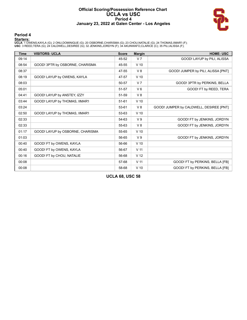#### **Official Scoring/Possession Reference Chart UCLA vs USC Period 4 January 23, 2022 at Galen Center - Los Angeles**



#### **Period 4**

<mark>Starters:</mark><br>UCLA: 1 OWENS,KAYLA (G); 2 ONU,DOMINIQUE (G); 20 OSBORNE,CHARISMA (G); 23 CHOU,NATALIE (G); 24 THOMAS,IIMAR'I (F);<br>USC: 3 REED,TERA (G); 24 CALDWELL,DESIREE (G); 32 JENKINS,JORDYN (F); 34 AKUNWAFO,CLARICE (C);

| <b>Time</b> | <b>VISITORS: UCLA</b>            | <b>Score</b> | <b>Margin</b>   | <b>HOME: USC</b>                        |
|-------------|----------------------------------|--------------|-----------------|-----------------------------------------|
| 09:14       |                                  | 45-52        | V <sub>7</sub>  | GOOD! LAYUP by PILI, ALISSA             |
| 08:54       | GOOD! 3PTR by OSBORNE, CHARISMA  | 45-55        | $V$ 10          |                                         |
| 08:37       |                                  | 47-55        | $V_8$           | GOOD! JUMPER by PILI, ALISSA [PNT]      |
| 08:19       | GOOD! LAYUP by OWENS, KAYLA      | 47-57        | $V$ 10          |                                         |
| 08:03       |                                  | 50-57        | V <sub>7</sub>  | GOOD! 3PTR by PERKINS, BELLA            |
| 05:01       |                                  | 51-57        | $V_6$           | GOOD! FT by REED, TERA                  |
| 04:41       | GOOD! LAYUP by ANSTEY, IZZY      | 51-59        | V8              |                                         |
| 03:44       | GOOD! LAYUP by THOMAS, IIMAR'I   | $51 - 61$    | $V$ 10          |                                         |
| 03:24       |                                  | 53-61        | V8              | GOOD! JUMPER by CALDWELL, DESIREE [PNT] |
| 02:50       | GOOD! LAYUP by THOMAS, IIMAR'I   | 53-63        | $V$ 10          |                                         |
| 02:33       |                                  | 54-63        | V <sub>9</sub>  | GOOD! FT by JENKINS, JORDYN             |
| 02:33       |                                  | 55-63        | V8              | GOOD! FT by JENKINS, JORDYN             |
| 01:17       | GOOD! LAYUP by OSBORNE, CHARISMA | 55-65        | $V$ 10          |                                         |
| 01:03       |                                  | 56-65        | V <sub>9</sub>  | GOOD! FT by JENKINS, JORDYN             |
| 00:40       | GOOD! FT by OWENS, KAYLA         | 56-66        | $V$ 10          |                                         |
| 00:40       | GOOD! FT by OWENS, KAYLA         | 56-67        | V <sub>11</sub> |                                         |
| 00:16       | GOOD! FT by CHOU, NATALIE        | 56-68        | V <sub>12</sub> |                                         |
| 00:08       |                                  | 57-68        | V <sub>11</sub> | GOOD! FT by PERKINS, BELLA [FB]         |
| 00:08       |                                  | 58-68        | $V$ 10          | GOOD! FT by PERKINS, BELLA [FB]         |

**UCLA 68, USC 58**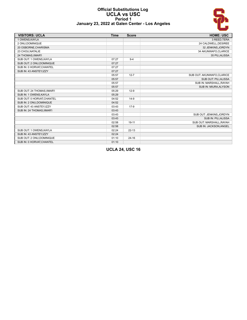#### **Official Substitutions Log UCLA vs USC Period 1 January 23, 2022 at Galen Center - Los Angeles**



| <b>VISITORS: UCLA</b>       | <b>Time</b> | <b>Score</b> | <b>HOME: USC</b>           |
|-----------------------------|-------------|--------------|----------------------------|
| 1 OWENS.KAYLA               |             |              | 3 REED, TERA               |
| 2 ONU.DOMINIQUE             |             |              | 24 CALDWELL, DESIREE       |
| 20 OSBORNE, CHARISMA        |             |              | 32 JENKINS, JORDYN         |
| 23 CHOU, NATALIE            |             |              | 34 AKUNWAFO, CLARICE       |
| 24 THOMAS, IIMAR'I          |             |              | 35 PILI, ALISSA            |
| SUB OUT: 1 OWENS, KAYLA     | 07:27       | $9 - 4$      |                            |
| SUB OUT: 2 ONU, DOMINIQUE   | 07:27       |              |                            |
| SUB IN: 0 HORVAT, CHANTEL   | 07:27       |              |                            |
| SUB IN: 43 ANSTEY, IZZY     | 07:27       |              |                            |
|                             | 05:57       | $12 - 7$     | SUB OUT: AKUNWAFO, CLARICE |
|                             | 05:57       |              | SUB OUT: PILI, ALISSA      |
|                             | 05:57       |              | SUB IN: MARSHALL, RAYAH    |
|                             | 05:57       |              | SUB IN: MIURA, ALYSON      |
| SUB OUT: 24 THOMAS, IIMAR'I | 05:29       | $12-9$       |                            |
| SUB IN: 1 OWENS, KAYLA      | 05:29       |              |                            |
| SUB OUT: 0 HORVAT, CHANTEL  | 04:52       | $14-9$       |                            |
| SUB IN: 2 ONU, DOMINIQUE    | 04:52       |              |                            |
| SUB OUT: 43 ANSTEY, IZZY    | 03:43       | $17-9$       |                            |
| SUB IN: 24 THOMAS, IIMAR'I  | 03:43       |              |                            |
|                             | 03:43       |              | SUB OUT: JENKINS, JORDYN   |
|                             | 03:43       |              | SUB IN: PILI, ALISSA       |
|                             | 02:58       | $19 - 11$    | SUB OUT: MARSHALL, RAYAH   |
|                             | 02:58       |              | SUB IN: JACKSON, ANGEL     |
| SUB OUT: 1 OWENS, KAYLA     | 02:24       | $22 - 13$    |                            |
| SUB IN: 43 ANSTEY, IZZY     | 02:24       |              |                            |
| SUB OUT: 2 ONU, DOMINIQUE   | 01:10       | $24 - 16$    |                            |
| SUB IN: 0 HORVAT, CHANTEL   | 01:10       |              |                            |

**UCLA 24, USC 16**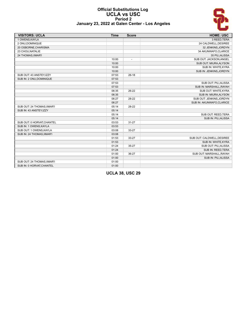

#### **Official Substitutions Log UCLA vs USC Period 2 January 23, 2022 at Galen Center - Los Angeles**

| <b>VISITORS: UCLA</b>       | <b>Time</b> | <b>Score</b>             | <b>HOME: USC</b>           |
|-----------------------------|-------------|--------------------------|----------------------------|
| 1 OWENS, KAYLA              |             |                          | 3 REED, TERA               |
| 2 ONU.DOMINIQUE             |             |                          | 24 CALDWELL, DESIREE       |
| 20 OSBORNE, CHARISMA        |             |                          | 32 JENKINS, JORDYN         |
| 23 CHOU, NATALIE            |             |                          | 34 AKUNWAFO, CLARICE       |
| 24 THOMAS, IIMAR'I          |             |                          | 35 PILI, ALISSA            |
|                             | 10:00       | $\overline{\phantom{a}}$ | SUB OUT: JACKSON, ANGEL    |
|                             | 10:00       |                          | SUB OUT: MIURA, ALYSON     |
|                             | 10:00       |                          | SUB IN: WHITE, KYRA        |
|                             | 10:00       |                          | SUB IN: JENKINS, JORDYN    |
| SUB OUT: 43 ANSTEY, IZZY    | 07:53       | $26-18$                  |                            |
| SUB IN: 2 ONU, DOMINIQUE    | 07:53       |                          |                            |
|                             | 07:53       |                          | SUB OUT: PILI, ALISSA      |
|                             | 07:53       |                          | SUB IN: MARSHALL, RAYAH    |
|                             | 06:35       | $26 - 22$                | SUB OUT: WHITE, KYRA       |
|                             | 06:35       |                          | SUB IN: MIURA, ALYSON      |
|                             | 06:27       | 28-22                    | SUB OUT: JENKINS, JORDYN   |
|                             | 06:27       |                          | SUB IN: AKUNWAFO, CLARICE  |
| SUB OUT: 24 THOMAS.IIMAR'I  | 05:14       | 28-22                    |                            |
| SUB IN: 43 ANSTEY, IZZY     | 05:14       |                          |                            |
|                             | 05:14       |                          | SUB OUT: REED, TERA        |
|                             | 05:14       |                          | SUB IN: PILI, ALISSA       |
| SUB OUT: 0 HORVAT, CHANTEL  | 03:53       | $31 - 27$                |                            |
| SUB IN: 1 OWENS, KAYLA      | 03:53       |                          |                            |
| SUB OUT: 1 OWENS, KAYLA     | 03:08       | 33-27                    |                            |
| SUB IN: 24 THOMAS, IIMAR'I  | 03:08       |                          |                            |
|                             | 01:53       | 33-27                    | SUB OUT: CALDWELL, DESIREE |
|                             | 01:53       |                          | SUB IN: WHITE, KYRA        |
|                             | 01:24       | 35-27                    | SUB OUT: PILI, ALISSA      |
|                             | 01:24       |                          | SUB IN: REED, TERA         |
|                             | 01:00       | 36-27                    | SUB OUT: MARSHALL, RAYAH   |
|                             | 01:00       |                          | SUB IN: PILI, ALISSA       |
| SUB OUT: 24 THOMAS, IIMAR'I | 01:00       |                          |                            |
| SUB IN: 0 HORVAT, CHANTEL   | 01:00       |                          |                            |

**UCLA 38, USC 29**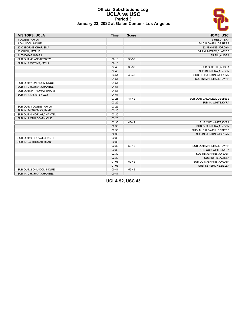# <u> S</u>

#### **Official Substitutions Log UCLA vs USC Period 3 January 23, 2022 at Galen Center - Los Angeles**

| <b>VISITORS: UCLA</b>       | <b>Time</b> | <b>Score</b> | <b>HOME: USC</b>           |
|-----------------------------|-------------|--------------|----------------------------|
| 1 OWENS.KAYLA               |             |              | 3 REED, TERA               |
| 2 ONU, DOMINIQUE            |             |              | 24 CALDWELL, DESIREE       |
| 20 OSBORNE, CHARISMA        |             |              | 32 JENKINS, JORDYN         |
| 23 CHOU, NATALIE            |             |              | 34 AKUNWAFO, CLARICE       |
| 24 THOMAS, IIMAR'I          |             |              | 35 PILI, ALISSA            |
| SUB OUT: 43 ANSTEY, IZZY    | 08:10       | 38-33        |                            |
| SUB IN: 1 OWENS, KAYLA      | 08:10       |              |                            |
|                             | 07:40       | 38-36        | SUB OUT: PILI, ALISSA      |
|                             | 07:40       |              | SUB IN: MIURA, ALYSON      |
|                             | 04:51       | 40-40        | SUB OUT: JENKINS, JORDYN   |
|                             | 04:51       |              | SUB IN: MARSHALL, RAYAH    |
| SUB OUT: 2 ONU, DOMINIQUE   | 04:51       |              |                            |
| SUB IN: 0 HORVAT, CHANTEL   | 04:51       |              |                            |
| SUB OUT: 24 THOMAS, IIMAR'I | 04:51       |              |                            |
| SUB IN: 43 ANSTEY, IZZY     | 04:51       |              |                            |
|                             | 03:25       | 44-42        | SUB OUT: CALDWELL, DESIREE |
|                             | 03:25       |              | SUB IN: WHITE, KYRA        |
| SUB OUT: 1 OWENS, KAYLA     | 03:25       |              |                            |
| SUB IN: 24 THOMAS, IIMAR'I  | 03:25       |              |                            |
| SUB OUT: 0 HORVAT, CHANTEL  | 03:25       |              |                            |
| SUB IN: 2 ONU, DOMINIQUE    | 03:25       |              |                            |
|                             | 02:36       | 48-42        | SUB OUT: WHITE, KYRA       |
|                             | 02:36       |              | SUB OUT: MIURA, ALYSON     |
|                             | 02:36       |              | SUB IN: CALDWELL, DESIREE  |
|                             | 02:36       |              | SUB IN: JENKINS, JORDYN    |
| SUB OUT: 0 HORVAT, CHANTEL  | 02:36       |              |                            |
| SUB IN: 24 THOMAS, IIMAR'I  | 02:36       |              |                            |
|                             | 02:32       | $50 - 42$    | SUB OUT: MARSHALL, RAYAH   |
|                             | 02:32       |              | SUB OUT: WHITE, KYRA       |
|                             | 02:32       |              | SUB IN: JENKINS, JORDYN    |
|                             | 02:32       |              | SUB IN: PILI, ALISSA       |
|                             | 01:08       | $52 - 42$    | SUB OUT: JENKINS, JORDYN   |
|                             | 01:08       |              | SUB IN: PERKINS, BELLA     |
| SUB OUT: 2 ONU, DOMINIQUE   | 00:41       | $52 - 42$    |                            |
| SUB IN: 0 HORVAT, CHANTEL   | 00:41       |              |                            |

**UCLA 52, USC 43**